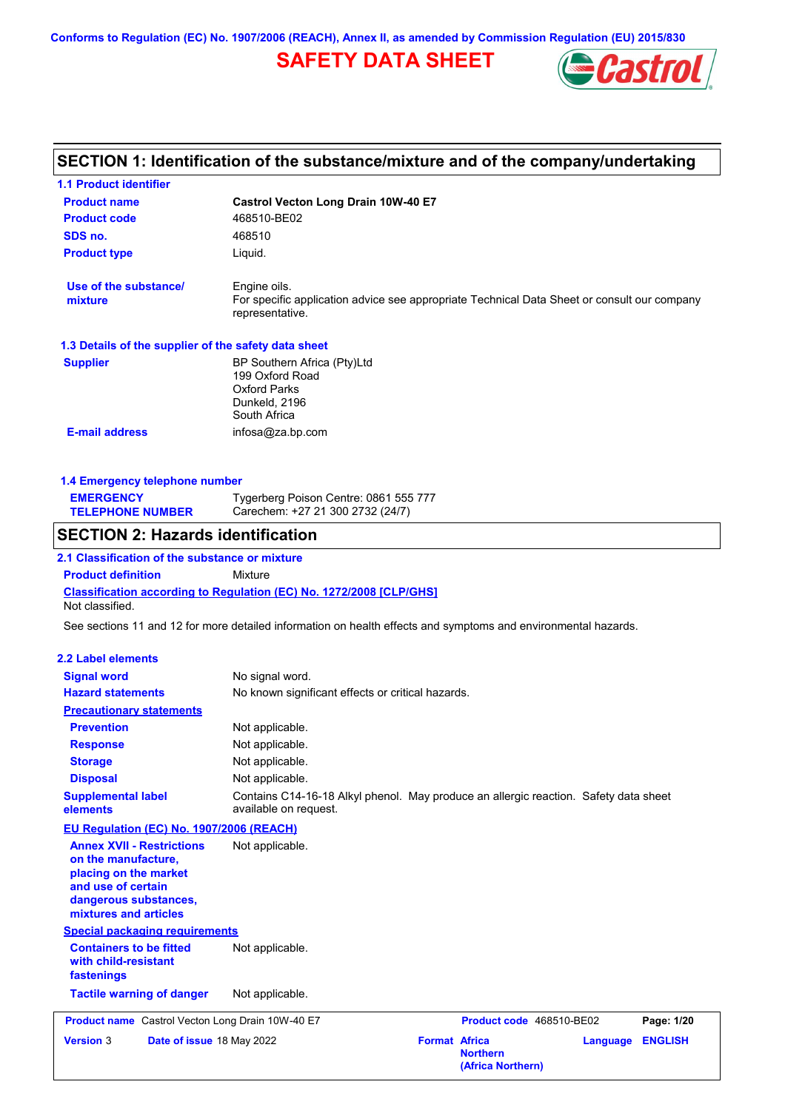**Conforms to Regulation (EC) No. 1907/2006 (REACH), Annex II, as amended by Commission Regulation (EU) 2015/830**

# **SAFETY DATA SHEET**



# **SECTION 1: Identification of the substance/mixture and of the company/undertaking**

| <b>1.1 Product identifier</b>                                                                                                                            |                                                                                                                                |                                         |                          |          |                |
|----------------------------------------------------------------------------------------------------------------------------------------------------------|--------------------------------------------------------------------------------------------------------------------------------|-----------------------------------------|--------------------------|----------|----------------|
| <b>Product name</b>                                                                                                                                      | <b>Castrol Vecton Long Drain 10W-40 E7</b>                                                                                     |                                         |                          |          |                |
| <b>Product code</b>                                                                                                                                      | 468510-BE02                                                                                                                    |                                         |                          |          |                |
| SDS no.                                                                                                                                                  | 468510                                                                                                                         |                                         |                          |          |                |
| <b>Product type</b>                                                                                                                                      | Liquid.                                                                                                                        |                                         |                          |          |                |
| Use of the substance/<br>mixture                                                                                                                         | Engine oils.<br>For specific application advice see appropriate Technical Data Sheet or consult our company<br>representative. |                                         |                          |          |                |
| 1.3 Details of the supplier of the safety data sheet                                                                                                     |                                                                                                                                |                                         |                          |          |                |
| <b>Supplier</b>                                                                                                                                          | BP Southern Africa (Pty)Ltd<br>199 Oxford Road<br><b>Oxford Parks</b><br>Dunkeld, 2196<br>South Africa                         |                                         |                          |          |                |
| <b>E-mail address</b>                                                                                                                                    | infosa@za.bp.com                                                                                                               |                                         |                          |          |                |
|                                                                                                                                                          |                                                                                                                                |                                         |                          |          |                |
| 1.4 Emergency telephone number                                                                                                                           |                                                                                                                                |                                         |                          |          |                |
| <b>EMERGENCY</b><br><b>TELEPHONE NUMBER</b>                                                                                                              | Tygerberg Poison Centre: 0861 555 777<br>Carechem: +27 21 300 2732 (24/7)                                                      |                                         |                          |          |                |
| <b>SECTION 2: Hazards identification</b>                                                                                                                 |                                                                                                                                |                                         |                          |          |                |
| 2.1 Classification of the substance or mixture                                                                                                           |                                                                                                                                |                                         |                          |          |                |
| <b>Product definition</b>                                                                                                                                | <b>Mixture</b>                                                                                                                 |                                         |                          |          |                |
| Not classified.                                                                                                                                          | <b>Classification according to Regulation (EC) No. 1272/2008 [CLP/GHS]</b>                                                     |                                         |                          |          |                |
|                                                                                                                                                          | See sections 11 and 12 for more detailed information on health effects and symptoms and environmental hazards.                 |                                         |                          |          |                |
|                                                                                                                                                          |                                                                                                                                |                                         |                          |          |                |
| 2.2 Label elements                                                                                                                                       |                                                                                                                                |                                         |                          |          |                |
| <b>Signal word</b>                                                                                                                                       | No signal word.                                                                                                                |                                         |                          |          |                |
| <b>Hazard statements</b>                                                                                                                                 | No known significant effects or critical hazards.                                                                              |                                         |                          |          |                |
| <b>Precautionary statements</b>                                                                                                                          |                                                                                                                                |                                         |                          |          |                |
| <b>Prevention</b>                                                                                                                                        | Not applicable.                                                                                                                |                                         |                          |          |                |
| <b>Response</b>                                                                                                                                          | Not applicable.                                                                                                                |                                         |                          |          |                |
| <b>Storage</b>                                                                                                                                           | Not applicable.                                                                                                                |                                         |                          |          |                |
| <b>Disposal</b>                                                                                                                                          | Not applicable.                                                                                                                |                                         |                          |          |                |
| <b>Supplemental label</b><br>elements                                                                                                                    | Contains C14-16-18 Alkyl phenol. May produce an allergic reaction. Safety data sheet<br>available on request.                  |                                         |                          |          |                |
| EU Regulation (EC) No. 1907/2006 (REACH)                                                                                                                 |                                                                                                                                |                                         |                          |          |                |
| <b>Annex XVII - Restrictions</b><br>on the manufacture,<br>placing on the market<br>and use of certain<br>dangerous substances,<br>mixtures and articles | Not applicable.                                                                                                                |                                         |                          |          |                |
| <b>Special packaging requirements</b>                                                                                                                    |                                                                                                                                |                                         |                          |          |                |
| <b>Containers to be fitted</b><br>with child-resistant<br>fastenings                                                                                     | Not applicable.                                                                                                                |                                         |                          |          |                |
| <b>Tactile warning of danger</b>                                                                                                                         | Not applicable.                                                                                                                |                                         |                          |          |                |
| Product name Castrol Vecton Long Drain 10W-40 E7                                                                                                         |                                                                                                                                |                                         | Product code 468510-BE02 |          | Page: 1/20     |
| <b>Version 3</b><br>Date of issue 18 May 2022                                                                                                            |                                                                                                                                | <b>Format Africa</b><br><b>Northern</b> | (Africa Northern)        | Language | <b>ENGLISH</b> |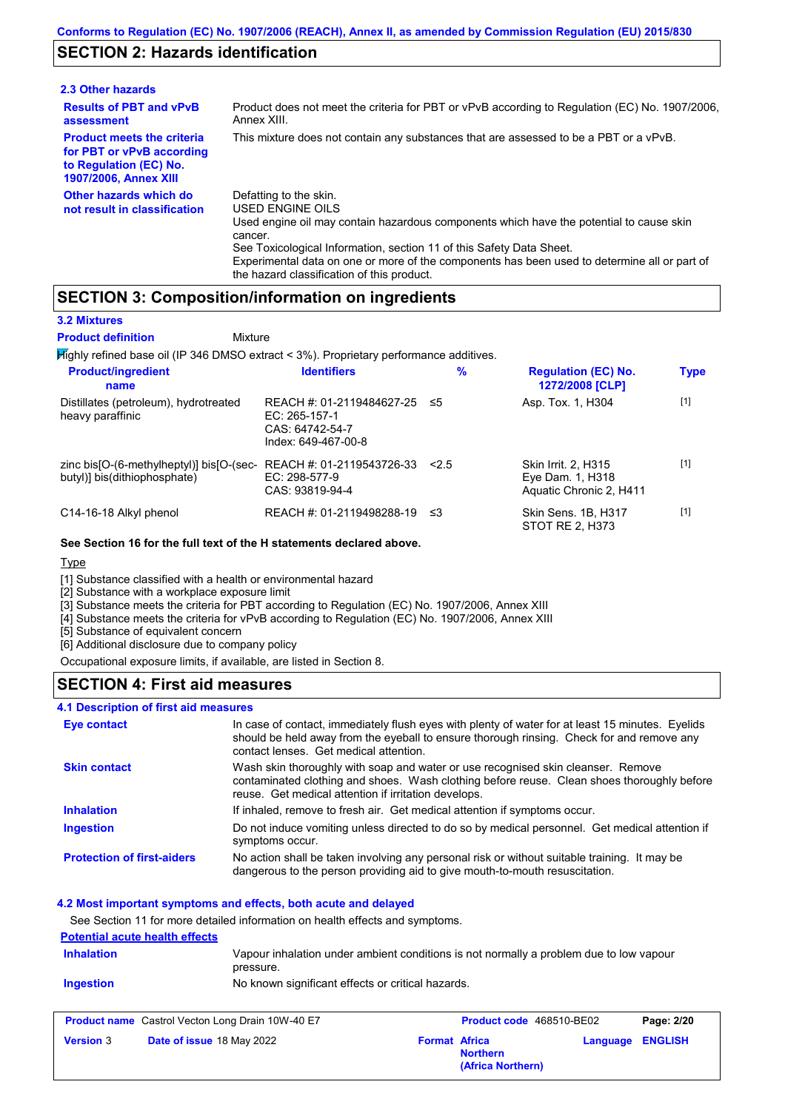# **SECTION 2: Hazards identification**

| 2.3 Other hazards                                                                                                        |                                                                                                                                                                                                                                                                                                                                                                        |
|--------------------------------------------------------------------------------------------------------------------------|------------------------------------------------------------------------------------------------------------------------------------------------------------------------------------------------------------------------------------------------------------------------------------------------------------------------------------------------------------------------|
| <b>Results of PBT and vPvB</b><br>assessment                                                                             | Product does not meet the criteria for PBT or vPvB according to Regulation (EC) No. 1907/2006.<br>Annex XIII.                                                                                                                                                                                                                                                          |
| <b>Product meets the criteria</b><br>for PBT or vPvB according<br>to Regulation (EC) No.<br><b>1907/2006, Annex XIII</b> | This mixture does not contain any substances that are assessed to be a PBT or a vPvB.                                                                                                                                                                                                                                                                                  |
| Other hazards which do<br>not result in classification                                                                   | Defatting to the skin.<br>USED ENGINE OILS<br>Used engine oil may contain hazardous components which have the potential to cause skin<br>cancer.<br>See Toxicological Information, section 11 of this Safety Data Sheet.<br>Experimental data on one or more of the components has been used to determine all or part of<br>the hazard classification of this product. |

# **SECTION 3: Composition/information on ingredients**

#### **3.2 Mixtures**

**Product definition**

**Mixture** 

Highly refined base oil (IP 346 DMSO extract < 3%). Proprietary performance additives.

| <b>Product/ingredient</b><br>name                                        | <b>Identifiers</b>                                                                   | $\%$ | <b>Regulation (EC) No.</b><br>1272/2008 [CLP]                             | <b>Type</b> |
|--------------------------------------------------------------------------|--------------------------------------------------------------------------------------|------|---------------------------------------------------------------------------|-------------|
| Distillates (petroleum), hydrotreated<br>heavy paraffinic                | REACH #: 01-2119484627-25<br>EC: 265-157-1<br>CAS: 64742-54-7<br>Index: 649-467-00-8 | ≤5   | Asp. Tox. 1, H304                                                         | $[1]$       |
| zinc bis[O-(6-methylheptyl)] bis[O-(sec-<br>butyl)] bis(dithiophosphate) | REACH #: 01-2119543726-33<br>EC: 298-577-9<br>CAS: 93819-94-4                        | 2.5  | <b>Skin Irrit. 2. H315</b><br>Eye Dam. 1, H318<br>Aquatic Chronic 2, H411 | $[1]$       |
| C14-16-18 Alkyl phenol                                                   | REACH #: 01-2119498288-19                                                            | ≤3   | Skin Sens. 1B, H317<br>STOT RE 2. H373                                    | $[1]$       |

#### **See Section 16 for the full text of the H statements declared above.**

#### Type

[1] Substance classified with a health or environmental hazard

[2] Substance with a workplace exposure limit

[3] Substance meets the criteria for PBT according to Regulation (EC) No. 1907/2006, Annex XIII

[4] Substance meets the criteria for vPvB according to Regulation (EC) No. 1907/2006, Annex XIII

[5] Substance of equivalent concern

[6] Additional disclosure due to company policy

Occupational exposure limits, if available, are listed in Section 8.

### **SECTION 4: First aid measures**

#### **4.1 Description of first aid measures**

| Eye contact                       | In case of contact, immediately flush eyes with plenty of water for at least 15 minutes. Eyelids<br>should be held away from the eyeball to ensure thorough rinsing. Check for and remove any<br>contact lenses. Get medical attention. |
|-----------------------------------|-----------------------------------------------------------------------------------------------------------------------------------------------------------------------------------------------------------------------------------------|
| <b>Skin contact</b>               | Wash skin thoroughly with soap and water or use recognised skin cleanser. Remove<br>contaminated clothing and shoes. Wash clothing before reuse. Clean shoes thoroughly before<br>reuse. Get medical attention if irritation develops.  |
| <b>Inhalation</b>                 | If inhaled, remove to fresh air. Get medical attention if symptoms occur.                                                                                                                                                               |
| <b>Ingestion</b>                  | Do not induce vomiting unless directed to do so by medical personnel. Get medical attention if<br>symptoms occur.                                                                                                                       |
| <b>Protection of first-aiders</b> | No action shall be taken involving any personal risk or without suitable training. It may be<br>dangerous to the person providing aid to give mouth-to-mouth resuscitation.                                                             |

#### **4.2 Most important symptoms and effects, both acute and delayed**

See Section 11 for more detailed information on health effects and symptoms.

#### **Potential acute health effects**

| <b>Inhalation</b> | Vapour inhalation under ambient conditions is not normally a problem due to low vapour<br>pressure. |
|-------------------|-----------------------------------------------------------------------------------------------------|
| <b>Ingestion</b>  | No known significant effects or critical hazards.                                                   |

|                  | <b>Product name</b> Castrol Vecton Long Drain 10W-40 E7 |                      | <b>Product code</b> 468510-BE02      |                         | Page: 2/20 |
|------------------|---------------------------------------------------------|----------------------|--------------------------------------|-------------------------|------------|
| <b>Version 3</b> | Date of issue 18 May 2022                               | <b>Format Africa</b> | <b>Northern</b><br>(Africa Northern) | <b>Language ENGLISH</b> |            |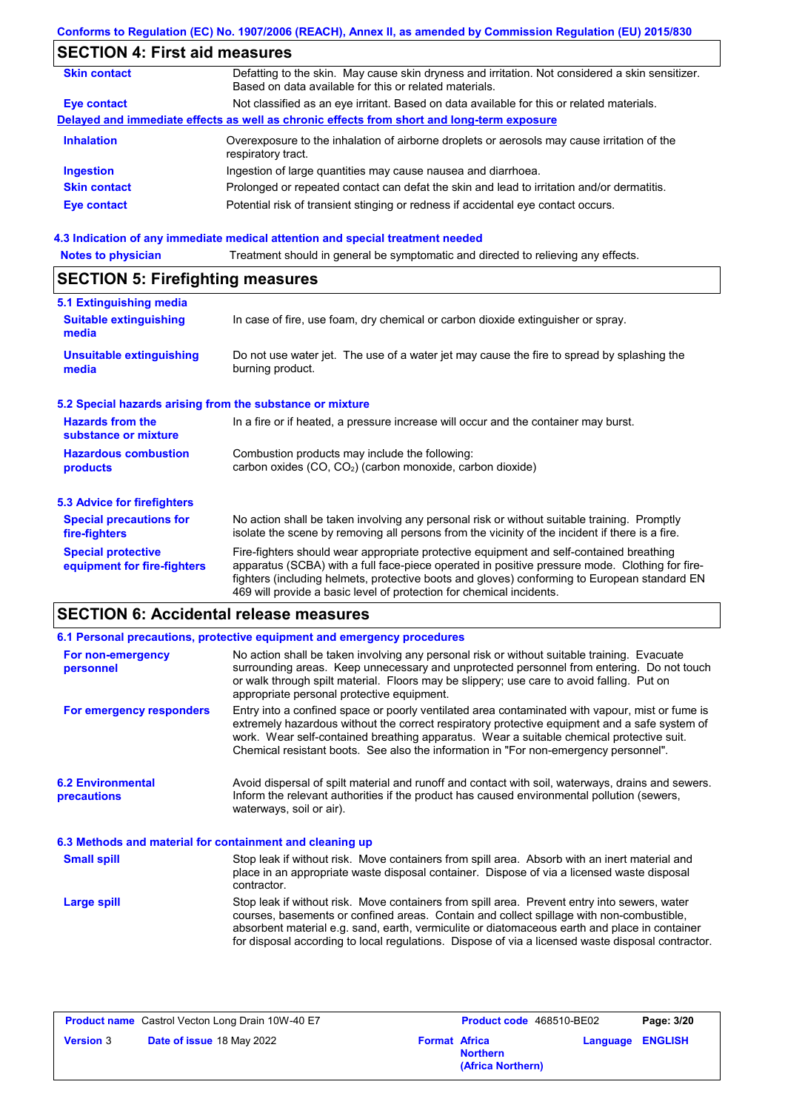# **Conforms to Regulation (EC) No. 1907/2006 (REACH), Annex II, as amended by Commission Regulation (EU) 2015/830**

# **SECTION 4: First aid measures**

| <b>Skin contact</b> | Defatting to the skin. May cause skin dryness and irritation. Not considered a skin sensitizer.<br>Based on data available for this or related materials. |
|---------------------|-----------------------------------------------------------------------------------------------------------------------------------------------------------|
| Eye contact         | Not classified as an eye irritant. Based on data available for this or related materials.                                                                 |
|                     | Delayed and immediate effects as well as chronic effects from short and long-term exposure                                                                |
| <b>Inhalation</b>   | Overexposure to the inhalation of airborne droplets or aerosols may cause irritation of the<br>respiratory tract.                                         |
| <b>Ingestion</b>    | Ingestion of large quantities may cause nausea and diarrhoea.                                                                                             |
| <b>Skin contact</b> | Prolonged or repeated contact can defat the skin and lead to irritation and/or dermatitis.                                                                |
| Eye contact         | Potential risk of transient stinging or redness if accidental eye contact occurs.                                                                         |
|                     |                                                                                                                                                           |

### **4.3 Indication of any immediate medical attention and special treatment needed**

| <b>Notes to physician</b>                                 | Treatment should in general be symptomatic and directed to relieving any effects.                                                                                                                                                                                                                                                                                 |  |  |  |
|-----------------------------------------------------------|-------------------------------------------------------------------------------------------------------------------------------------------------------------------------------------------------------------------------------------------------------------------------------------------------------------------------------------------------------------------|--|--|--|
| <b>SECTION 5: Firefighting measures</b>                   |                                                                                                                                                                                                                                                                                                                                                                   |  |  |  |
| 5.1 Extinguishing media                                   |                                                                                                                                                                                                                                                                                                                                                                   |  |  |  |
| <b>Suitable extinguishing</b><br>media                    | In case of fire, use foam, dry chemical or carbon dioxide extinguisher or spray.                                                                                                                                                                                                                                                                                  |  |  |  |
| <b>Unsuitable extinguishing</b><br>media                  | Do not use water jet. The use of a water jet may cause the fire to spread by splashing the<br>burning product.                                                                                                                                                                                                                                                    |  |  |  |
| 5.2 Special hazards arising from the substance or mixture |                                                                                                                                                                                                                                                                                                                                                                   |  |  |  |
| <b>Hazards from the</b><br>substance or mixture           | In a fire or if heated, a pressure increase will occur and the container may burst.                                                                                                                                                                                                                                                                               |  |  |  |
| <b>Hazardous combustion</b>                               | Combustion products may include the following:                                                                                                                                                                                                                                                                                                                    |  |  |  |
| products                                                  | carbon oxides (CO, CO <sub>2</sub> ) (carbon monoxide, carbon dioxide)                                                                                                                                                                                                                                                                                            |  |  |  |
| <b>5.3 Advice for firefighters</b>                        |                                                                                                                                                                                                                                                                                                                                                                   |  |  |  |
| <b>Special precautions for</b><br>fire-fighters           | No action shall be taken involving any personal risk or without suitable training. Promptly<br>isolate the scene by removing all persons from the vicinity of the incident if there is a fire.                                                                                                                                                                    |  |  |  |
| <b>Special protective</b><br>equipment for fire-fighters  | Fire-fighters should wear appropriate protective equipment and self-contained breathing<br>apparatus (SCBA) with a full face-piece operated in positive pressure mode. Clothing for fire-<br>fighters (including helmets, protective boots and gloves) conforming to European standard EN<br>469 will provide a basic level of protection for chemical incidents. |  |  |  |

# **SECTION 6: Accidental release measures**

|                                                                                                                                                                                                                                                                                                                                                                       | 6.1 Personal precautions, protective equipment and emergency procedures                                                                                                                                                                                                                                                                                                              |  |  |  |
|-----------------------------------------------------------------------------------------------------------------------------------------------------------------------------------------------------------------------------------------------------------------------------------------------------------------------------------------------------------------------|--------------------------------------------------------------------------------------------------------------------------------------------------------------------------------------------------------------------------------------------------------------------------------------------------------------------------------------------------------------------------------------|--|--|--|
| No action shall be taken involving any personal risk or without suitable training. Evacuate<br>For non-emergency<br>surrounding areas. Keep unnecessary and unprotected personnel from entering. Do not touch<br>personnel<br>or walk through spilt material. Floors may be slippery; use care to avoid falling. Put on<br>appropriate personal protective equipment. |                                                                                                                                                                                                                                                                                                                                                                                      |  |  |  |
| For emergency responders                                                                                                                                                                                                                                                                                                                                              | Entry into a confined space or poorly ventilated area contaminated with vapour, mist or fume is<br>extremely hazardous without the correct respiratory protective equipment and a safe system of<br>work. Wear self-contained breathing apparatus. Wear a suitable chemical protective suit.<br>Chemical resistant boots. See also the information in "For non-emergency personnel". |  |  |  |
| <b>6.2 Environmental</b><br>precautions                                                                                                                                                                                                                                                                                                                               | Avoid dispersal of spilt material and runoff and contact with soil, waterways, drains and sewers.<br>Inform the relevant authorities if the product has caused environmental pollution (sewers,<br>waterways, soil or air).                                                                                                                                                          |  |  |  |
| 6.3 Methods and material for containment and cleaning up                                                                                                                                                                                                                                                                                                              |                                                                                                                                                                                                                                                                                                                                                                                      |  |  |  |
| <b>Small spill</b>                                                                                                                                                                                                                                                                                                                                                    | Stop leak if without risk. Move containers from spill area. Absorb with an inert material and<br>place in an appropriate waste disposal container. Dispose of via a licensed waste disposal<br>contractor.                                                                                                                                                                           |  |  |  |
| Large spill                                                                                                                                                                                                                                                                                                                                                           | Stop leak if without risk. Move containers from spill area. Prevent entry into sewers, water<br>courses, basements or confined areas. Contain and collect spillage with non-combustible,<br>absorbent material e.g. sand, earth, vermiculite or diatomaceous earth and place in container                                                                                            |  |  |  |

| <b>Product name</b> Castrol Vecton Long Drain 10W-40 E7 |                      | Product code 468510-BE02             |                         | Page: 3/20 |
|---------------------------------------------------------|----------------------|--------------------------------------|-------------------------|------------|
| Date of issue 18 May 2022<br><b>Version 3</b>           | <b>Format Africa</b> | <b>Northern</b><br>(Africa Northern) | <b>Language ENGLISH</b> |            |

for disposal according to local regulations. Dispose of via a licensed waste disposal contractor.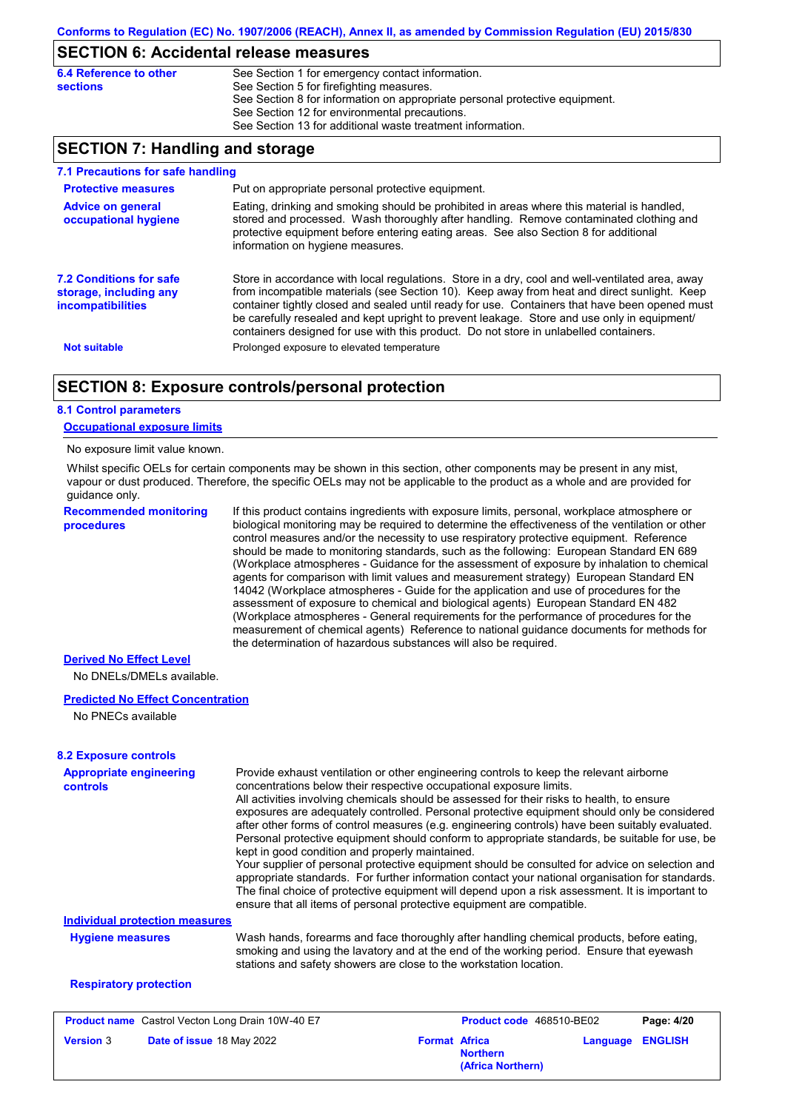# **SECTION 6: Accidental release measures**

| 6.4 Reference to other | See Section 1 for emergency contact information.                            |
|------------------------|-----------------------------------------------------------------------------|
| sections               | See Section 5 for firefighting measures.                                    |
|                        | See Section 8 for information on appropriate personal protective equipment. |
|                        | See Section 12 for environmental precautions.                               |
|                        | See Section 13 for additional waste treatment information.                  |
|                        |                                                                             |

# **SECTION 7: Handling and storage**

| 7.1 Precautions for safe handling                                                    |                                                                                                                                                                                                                                                                                                                                                                                                                                                                                          |
|--------------------------------------------------------------------------------------|------------------------------------------------------------------------------------------------------------------------------------------------------------------------------------------------------------------------------------------------------------------------------------------------------------------------------------------------------------------------------------------------------------------------------------------------------------------------------------------|
| <b>Protective measures</b>                                                           | Put on appropriate personal protective equipment.                                                                                                                                                                                                                                                                                                                                                                                                                                        |
| <b>Advice on general</b><br>occupational hygiene                                     | Eating, drinking and smoking should be prohibited in areas where this material is handled,<br>stored and processed. Wash thoroughly after handling. Remove contaminated clothing and<br>protective equipment before entering eating areas. See also Section 8 for additional<br>information on hygiene measures.                                                                                                                                                                         |
| <b>7.2 Conditions for safe</b><br>storage, including any<br><i>incompatibilities</i> | Store in accordance with local requlations. Store in a dry, cool and well-ventilated area, away<br>from incompatible materials (see Section 10). Keep away from heat and direct sunlight. Keep<br>container tightly closed and sealed until ready for use. Containers that have been opened must<br>be carefully resealed and kept upright to prevent leakage. Store and use only in equipment/<br>containers designed for use with this product. Do not store in unlabelled containers. |
| <b>Not suitable</b>                                                                  | Prolonged exposure to elevated temperature                                                                                                                                                                                                                                                                                                                                                                                                                                               |

### **SECTION 8: Exposure controls/personal protection**

#### **8.1 Control parameters**

#### **Occupational exposure limits**

#### No exposure limit value known.

Whilst specific OELs for certain components may be shown in this section, other components may be present in any mist, vapour or dust produced. Therefore, the specific OELs may not be applicable to the product as a whole and are provided for guidance only.

**Recommended monitoring procedures**

If this product contains ingredients with exposure limits, personal, workplace atmosphere or biological monitoring may be required to determine the effectiveness of the ventilation or other control measures and/or the necessity to use respiratory protective equipment. Reference should be made to monitoring standards, such as the following: European Standard EN 689 (Workplace atmospheres - Guidance for the assessment of exposure by inhalation to chemical agents for comparison with limit values and measurement strategy) European Standard EN 14042 (Workplace atmospheres - Guide for the application and use of procedures for the assessment of exposure to chemical and biological agents) European Standard EN 482 (Workplace atmospheres - General requirements for the performance of procedures for the measurement of chemical agents) Reference to national guidance documents for methods for the determination of hazardous substances will also be required.

#### **Derived No Effect Level**

No DNELs/DMELs available.

#### **Predicted No Effect Concentration**

No PNECs available

# **8.2 Exposure controls**

| <b>Appropriate engineering</b><br>controls | Provide exhaust ventilation or other engineering controls to keep the relevant airborne<br>concentrations below their respective occupational exposure limits.                                                                                              |
|--------------------------------------------|-------------------------------------------------------------------------------------------------------------------------------------------------------------------------------------------------------------------------------------------------------------|
|                                            | All activities involving chemicals should be assessed for their risks to health, to ensure                                                                                                                                                                  |
|                                            | exposures are adequately controlled. Personal protective equipment should only be considered                                                                                                                                                                |
|                                            | after other forms of control measures (e.g. engineering controls) have been suitably evaluated.                                                                                                                                                             |
|                                            | Personal protective equipment should conform to appropriate standards, be suitable for use, be<br>kept in good condition and properly maintained.                                                                                                           |
|                                            | Your supplier of personal protective equipment should be consulted for advice on selection and<br>appropriate standards. For further information contact your national organisation for standards.                                                          |
|                                            | The final choice of protective equipment will depend upon a risk assessment. It is important to<br>ensure that all items of personal protective equipment are compatible.                                                                                   |
| <b>Individual protection measures</b>      |                                                                                                                                                                                                                                                             |
| <b>Hygiene measures</b>                    | Wash hands, forearms and face thoroughly after handling chemical products, before eating,<br>smoking and using the lavatory and at the end of the working period. Ensure that eyewash<br>stations and safety showers are close to the workstation location. |
| <b>Respiratory protection</b>              |                                                                                                                                                                                                                                                             |
|                                            |                                                                                                                                                                                                                                                             |

| <b>Product name</b> Castrol Vecton Long Drain 10W-40 E7 |                                  | <b>Product code</b> 468510-BE02 |                                      | Page: 4/20 |                         |
|---------------------------------------------------------|----------------------------------|---------------------------------|--------------------------------------|------------|-------------------------|
| <b>Version 3</b>                                        | <b>Date of issue 18 May 2022</b> | <b>Format Africa</b>            | <b>Northern</b><br>(Africa Northern) |            | <b>Language ENGLISH</b> |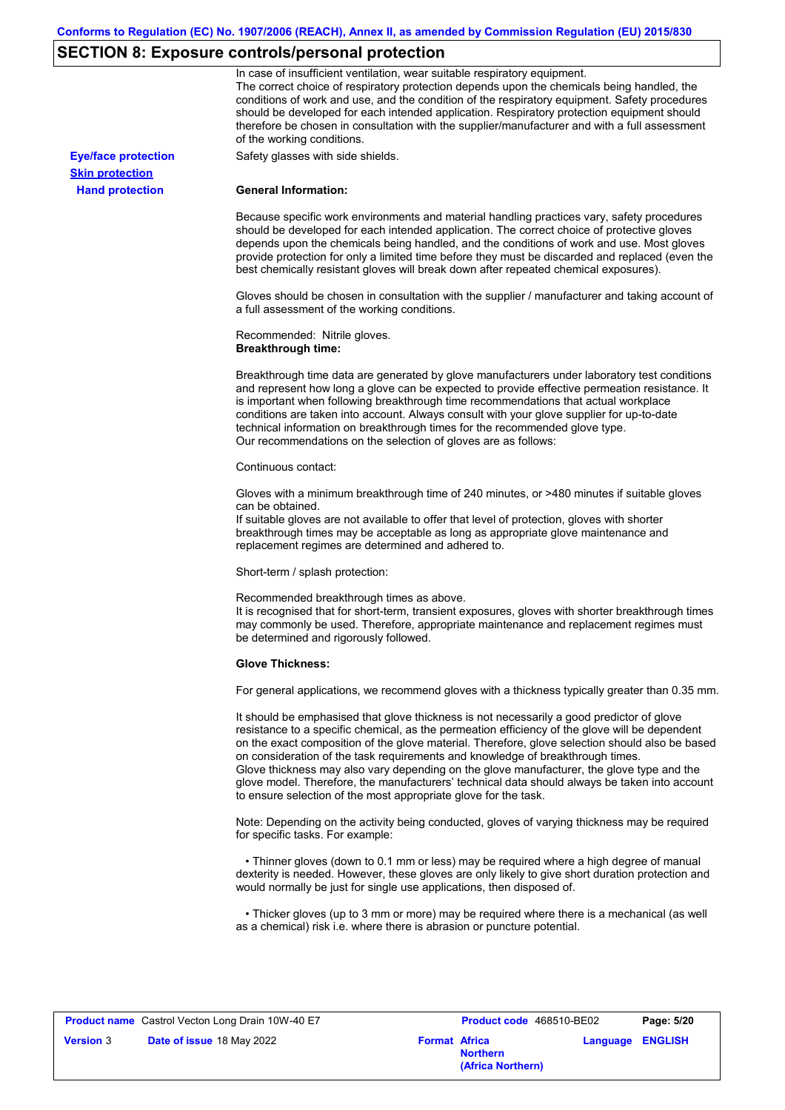# **SECTION 8: Exposure controls/personal protection**

|                            | In case of insufficient ventilation, wear suitable respiratory equipment.<br>The correct choice of respiratory protection depends upon the chemicals being handled, the<br>conditions of work and use, and the condition of the respiratory equipment. Safety procedures<br>should be developed for each intended application. Respiratory protection equipment should<br>therefore be chosen in consultation with the supplier/manufacturer and with a full assessment<br>of the working conditions.                                                                                                                                             |
|----------------------------|---------------------------------------------------------------------------------------------------------------------------------------------------------------------------------------------------------------------------------------------------------------------------------------------------------------------------------------------------------------------------------------------------------------------------------------------------------------------------------------------------------------------------------------------------------------------------------------------------------------------------------------------------|
| <b>Eye/face protection</b> | Safety glasses with side shields.                                                                                                                                                                                                                                                                                                                                                                                                                                                                                                                                                                                                                 |
| <b>Skin protection</b>     |                                                                                                                                                                                                                                                                                                                                                                                                                                                                                                                                                                                                                                                   |
| <b>Hand protection</b>     | <b>General Information:</b>                                                                                                                                                                                                                                                                                                                                                                                                                                                                                                                                                                                                                       |
|                            | Because specific work environments and material handling practices vary, safety procedures<br>should be developed for each intended application. The correct choice of protective gloves<br>depends upon the chemicals being handled, and the conditions of work and use. Most gloves<br>provide protection for only a limited time before they must be discarded and replaced (even the<br>best chemically resistant gloves will break down after repeated chemical exposures).                                                                                                                                                                  |
|                            | Gloves should be chosen in consultation with the supplier / manufacturer and taking account of<br>a full assessment of the working conditions.                                                                                                                                                                                                                                                                                                                                                                                                                                                                                                    |
|                            | Recommended: Nitrile gloves.<br><b>Breakthrough time:</b>                                                                                                                                                                                                                                                                                                                                                                                                                                                                                                                                                                                         |
|                            | Breakthrough time data are generated by glove manufacturers under laboratory test conditions<br>and represent how long a glove can be expected to provide effective permeation resistance. It<br>is important when following breakthrough time recommendations that actual workplace<br>conditions are taken into account. Always consult with your glove supplier for up-to-date<br>technical information on breakthrough times for the recommended glove type.<br>Our recommendations on the selection of gloves are as follows:                                                                                                                |
|                            | Continuous contact:                                                                                                                                                                                                                                                                                                                                                                                                                                                                                                                                                                                                                               |
|                            | Gloves with a minimum breakthrough time of 240 minutes, or >480 minutes if suitable gloves<br>can be obtained.<br>If suitable gloves are not available to offer that level of protection, gloves with shorter<br>breakthrough times may be acceptable as long as appropriate glove maintenance and<br>replacement regimes are determined and adhered to.                                                                                                                                                                                                                                                                                          |
|                            | Short-term / splash protection:                                                                                                                                                                                                                                                                                                                                                                                                                                                                                                                                                                                                                   |
|                            | Recommended breakthrough times as above.<br>It is recognised that for short-term, transient exposures, gloves with shorter breakthrough times<br>may commonly be used. Therefore, appropriate maintenance and replacement regimes must<br>be determined and rigorously followed.                                                                                                                                                                                                                                                                                                                                                                  |
|                            | <b>Glove Thickness:</b>                                                                                                                                                                                                                                                                                                                                                                                                                                                                                                                                                                                                                           |
|                            | For general applications, we recommend gloves with a thickness typically greater than 0.35 mm.                                                                                                                                                                                                                                                                                                                                                                                                                                                                                                                                                    |
|                            | It should be emphasised that glove thickness is not necessarily a good predictor of glove<br>resistance to a specific chemical, as the permeation efficiency of the glove will be dependent<br>on the exact composition of the glove material. Therefore, glove selection should also be based<br>on consideration of the task requirements and knowledge of breakthrough times.<br>Glove thickness may also vary depending on the glove manufacturer, the glove type and the<br>glove model. Therefore, the manufacturers' technical data should always be taken into account<br>to ensure selection of the most appropriate glove for the task. |
|                            | Note: Depending on the activity being conducted, gloves of varying thickness may be required<br>for specific tasks. For example:                                                                                                                                                                                                                                                                                                                                                                                                                                                                                                                  |
|                            | • Thinner gloves (down to 0.1 mm or less) may be required where a high degree of manual<br>dexterity is needed. However, these gloves are only likely to give short duration protection and<br>would normally be just for single use applications, then disposed of.                                                                                                                                                                                                                                                                                                                                                                              |
|                            | • Thicker gloves (up to 3 mm or more) may be required where there is a mechanical (as well<br>as a chemical) risk i.e. where there is abrasion or puncture potential.                                                                                                                                                                                                                                                                                                                                                                                                                                                                             |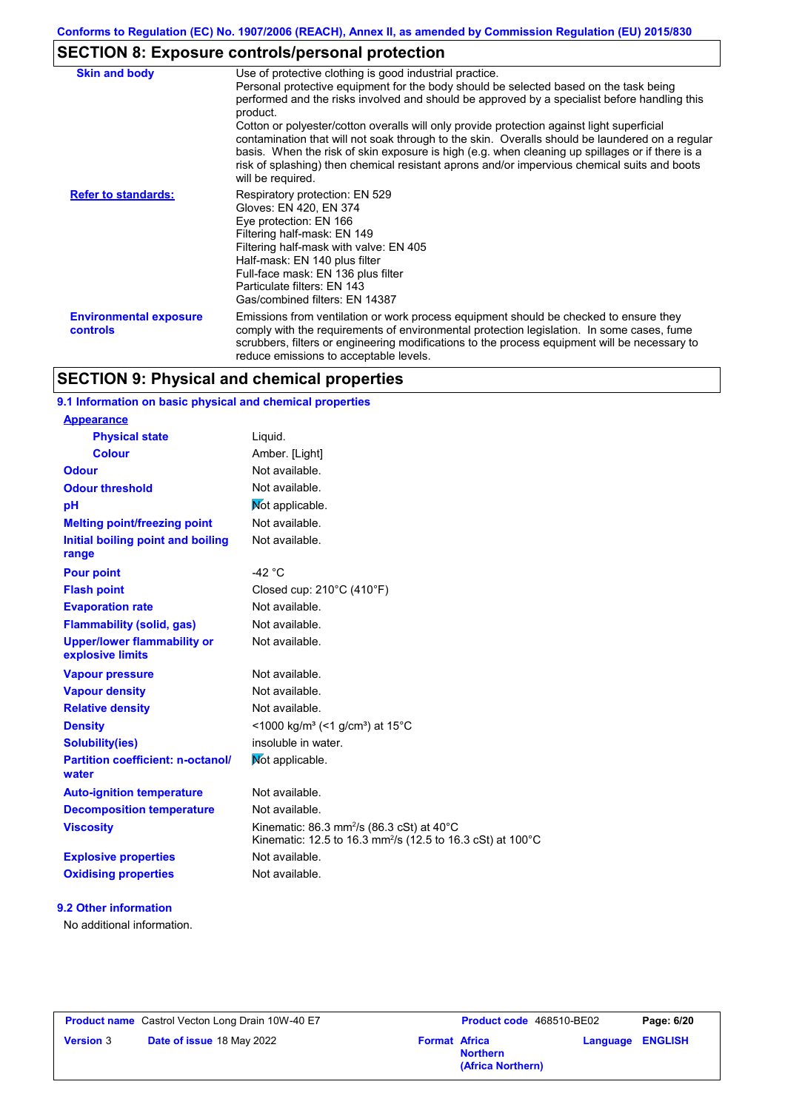# **SECTION 8: Exposure controls/personal protection**

| <b>Skin and body</b>                             | Use of protective clothing is good industrial practice.<br>Personal protective equipment for the body should be selected based on the task being                                                                                                                                                                                                                                                                      |
|--------------------------------------------------|-----------------------------------------------------------------------------------------------------------------------------------------------------------------------------------------------------------------------------------------------------------------------------------------------------------------------------------------------------------------------------------------------------------------------|
|                                                  | performed and the risks involved and should be approved by a specialist before handling this<br>product.                                                                                                                                                                                                                                                                                                              |
|                                                  | Cotton or polyester/cotton overalls will only provide protection against light superficial<br>contamination that will not soak through to the skin. Overalls should be laundered on a regular<br>basis. When the risk of skin exposure is high (e.g. when cleaning up spillages or if there is a<br>risk of splashing) then chemical resistant aprons and/or impervious chemical suits and boots<br>will be required. |
| <b>Refer to standards:</b>                       | Respiratory protection: EN 529<br>Gloves: EN 420, EN 374<br>Eye protection: EN 166<br>Filtering half-mask: EN 149<br>Filtering half-mask with valve: EN 405<br>Half-mask: EN 140 plus filter<br>Full-face mask: EN 136 plus filter<br>Particulate filters: EN 143<br>Gas/combined filters: EN 14387                                                                                                                   |
| <b>Environmental exposure</b><br><b>controls</b> | Emissions from ventilation or work process equipment should be checked to ensure they<br>comply with the requirements of environmental protection legislation. In some cases, fume<br>scrubbers, filters or engineering modifications to the process equipment will be necessary to<br>reduce emissions to acceptable levels.                                                                                         |

# **SECTION 9: Physical and chemical properties**

### **9.1 Information on basic physical and chemical properties**

| <u>Appearance</u>                                      |                                                                                                                                            |
|--------------------------------------------------------|--------------------------------------------------------------------------------------------------------------------------------------------|
| <b>Physical state</b>                                  | Liquid.                                                                                                                                    |
| <b>Colour</b>                                          | Amber. [Light]                                                                                                                             |
| Odour                                                  | Not available.                                                                                                                             |
| <b>Odour threshold</b>                                 | Not available.                                                                                                                             |
| рH                                                     | Not applicable.                                                                                                                            |
| <b>Melting point/freezing point</b>                    | Not available.                                                                                                                             |
| Initial boiling point and boiling<br>range             | Not available.                                                                                                                             |
| <b>Pour point</b>                                      | $-42 °C$                                                                                                                                   |
| <b>Flash point</b>                                     | Closed cup: 210°C (410°F)                                                                                                                  |
| <b>Evaporation rate</b>                                | Not available.                                                                                                                             |
| <b>Flammability (solid, gas)</b>                       | Not available.                                                                                                                             |
| <b>Upper/lower flammability or</b><br>explosive limits | Not available.                                                                                                                             |
| <b>Vapour pressure</b>                                 | Not available.                                                                                                                             |
| <b>Vapour density</b>                                  | Not available.                                                                                                                             |
| <b>Relative density</b>                                | Not available.                                                                                                                             |
| <b>Density</b>                                         | <1000 kg/m <sup>3</sup> (<1 g/cm <sup>3</sup> ) at 15 <sup>°</sup> C                                                                       |
| Solubility(ies)                                        | insoluble in water.                                                                                                                        |
| <b>Partition coefficient: n-octanol/</b><br>water      | Not applicable.                                                                                                                            |
| <b>Auto-ignition temperature</b>                       | Not available.                                                                                                                             |
| <b>Decomposition temperature</b>                       | Not available.                                                                                                                             |
| <b>Viscosity</b>                                       | Kinematic: 86.3 mm <sup>2</sup> /s (86.3 cSt) at 40 $^{\circ}$ C<br>Kinematic: 12.5 to 16.3 mm <sup>2</sup> /s (12.5 to 16.3 cSt) at 100°C |
| <b>Explosive properties</b>                            | Not available.                                                                                                                             |
| <b>Oxidising properties</b>                            | Not available.                                                                                                                             |

#### **9.2 Other information**

**Appearance**

No additional information.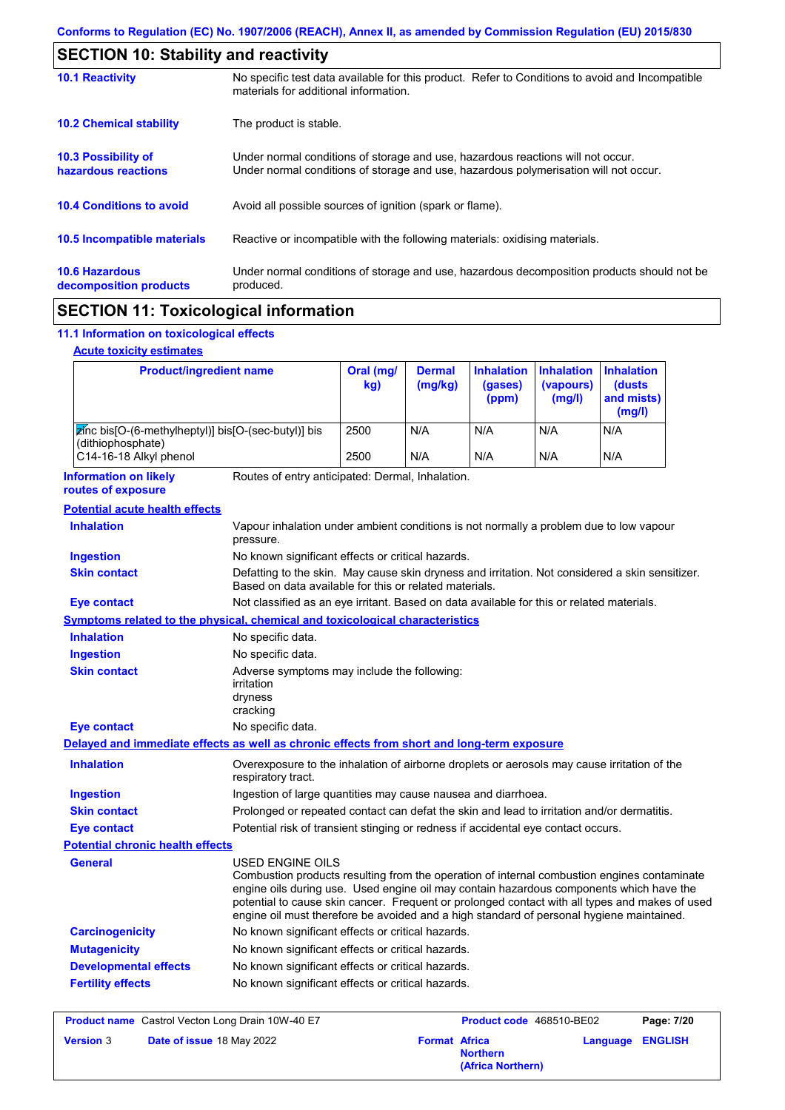| <b>SECTION 10: Stability and reactivity</b>       |                                                                                                                                                                         |  |  |
|---------------------------------------------------|-------------------------------------------------------------------------------------------------------------------------------------------------------------------------|--|--|
| <b>10.1 Reactivity</b>                            | No specific test data available for this product. Refer to Conditions to avoid and Incompatible<br>materials for additional information.                                |  |  |
| <b>10.2 Chemical stability</b>                    | The product is stable.                                                                                                                                                  |  |  |
| <b>10.3 Possibility of</b><br>hazardous reactions | Under normal conditions of storage and use, hazardous reactions will not occur.<br>Under normal conditions of storage and use, hazardous polymerisation will not occur. |  |  |
| <b>10.4 Conditions to avoid</b>                   | Avoid all possible sources of ignition (spark or flame).                                                                                                                |  |  |
| <b>10.5 Incompatible materials</b>                | Reactive or incompatible with the following materials: oxidising materials.                                                                                             |  |  |
| <b>10.6 Hazardous</b><br>decomposition products   | Under normal conditions of storage and use, hazardous decomposition products should not be<br>produced.                                                                 |  |  |
|                                                   |                                                                                                                                                                         |  |  |

# **SECTION 11: Toxicological information**

# **11.1 Information on toxicological effects**

|  | <b>Acute toxicity estimates</b> |  |
|--|---------------------------------|--|
|  |                                 |  |

| <b>Product/ingredient name</b>                                                             |                                                                                                                                                                                                                                                                                                                                                                                                                 | Oral (mg/<br>kg) | <b>Dermal</b><br>(mg/kg) | <b>Inhalation</b><br>(gases)<br>(ppm) | <b>Inhalation</b><br>(vapours)<br>(mg/l) | <b>Inhalation</b><br><b>(dusts)</b><br>and mists)<br>(mg/l) |
|--------------------------------------------------------------------------------------------|-----------------------------------------------------------------------------------------------------------------------------------------------------------------------------------------------------------------------------------------------------------------------------------------------------------------------------------------------------------------------------------------------------------------|------------------|--------------------------|---------------------------------------|------------------------------------------|-------------------------------------------------------------|
| zinc bis[O-(6-methylheptyl)] bis[O-(sec-butyl)] bis                                        |                                                                                                                                                                                                                                                                                                                                                                                                                 | 2500             | N/A                      | N/A                                   | N/A                                      | N/A                                                         |
| (dithiophosphate)<br>C14-16-18 Alkyl phenol                                                |                                                                                                                                                                                                                                                                                                                                                                                                                 | 2500             | N/A                      | N/A                                   | N/A                                      | N/A                                                         |
| <b>Information on likely</b><br>routes of exposure                                         | Routes of entry anticipated: Dermal, Inhalation.                                                                                                                                                                                                                                                                                                                                                                |                  |                          |                                       |                                          |                                                             |
| <b>Potential acute health effects</b>                                                      |                                                                                                                                                                                                                                                                                                                                                                                                                 |                  |                          |                                       |                                          |                                                             |
| <b>Inhalation</b>                                                                          | Vapour inhalation under ambient conditions is not normally a problem due to low vapour<br>pressure.                                                                                                                                                                                                                                                                                                             |                  |                          |                                       |                                          |                                                             |
| <b>Ingestion</b>                                                                           | No known significant effects or critical hazards.                                                                                                                                                                                                                                                                                                                                                               |                  |                          |                                       |                                          |                                                             |
| <b>Skin contact</b>                                                                        | Defatting to the skin. May cause skin dryness and irritation. Not considered a skin sensitizer.<br>Based on data available for this or related materials.                                                                                                                                                                                                                                                       |                  |                          |                                       |                                          |                                                             |
| <b>Eye contact</b>                                                                         | Not classified as an eye irritant. Based on data available for this or related materials.                                                                                                                                                                                                                                                                                                                       |                  |                          |                                       |                                          |                                                             |
| <b>Symptoms related to the physical, chemical and toxicological characteristics</b>        |                                                                                                                                                                                                                                                                                                                                                                                                                 |                  |                          |                                       |                                          |                                                             |
| <b>Inhalation</b>                                                                          | No specific data.                                                                                                                                                                                                                                                                                                                                                                                               |                  |                          |                                       |                                          |                                                             |
| <b>Ingestion</b>                                                                           | No specific data.                                                                                                                                                                                                                                                                                                                                                                                               |                  |                          |                                       |                                          |                                                             |
| <b>Skin contact</b>                                                                        | Adverse symptoms may include the following:<br>irritation<br>dryness<br>cracking                                                                                                                                                                                                                                                                                                                                |                  |                          |                                       |                                          |                                                             |
| <b>Eye contact</b>                                                                         | No specific data.                                                                                                                                                                                                                                                                                                                                                                                               |                  |                          |                                       |                                          |                                                             |
| Delayed and immediate effects as well as chronic effects from short and long-term exposure |                                                                                                                                                                                                                                                                                                                                                                                                                 |                  |                          |                                       |                                          |                                                             |
| <b>Inhalation</b>                                                                          | Overexposure to the inhalation of airborne droplets or aerosols may cause irritation of the<br>respiratory tract.                                                                                                                                                                                                                                                                                               |                  |                          |                                       |                                          |                                                             |
| <b>Ingestion</b>                                                                           | Ingestion of large quantities may cause nausea and diarrhoea.                                                                                                                                                                                                                                                                                                                                                   |                  |                          |                                       |                                          |                                                             |
| <b>Skin contact</b>                                                                        | Prolonged or repeated contact can defat the skin and lead to irritation and/or dermatitis.                                                                                                                                                                                                                                                                                                                      |                  |                          |                                       |                                          |                                                             |
| <b>Eye contact</b>                                                                         | Potential risk of transient stinging or redness if accidental eye contact occurs.                                                                                                                                                                                                                                                                                                                               |                  |                          |                                       |                                          |                                                             |
| <b>Potential chronic health effects</b>                                                    |                                                                                                                                                                                                                                                                                                                                                                                                                 |                  |                          |                                       |                                          |                                                             |
| General                                                                                    | <b>USED ENGINE OILS</b><br>Combustion products resulting from the operation of internal combustion engines contaminate<br>engine oils during use. Used engine oil may contain hazardous components which have the<br>potential to cause skin cancer. Frequent or prolonged contact with all types and makes of used<br>engine oil must therefore be avoided and a high standard of personal hygiene maintained. |                  |                          |                                       |                                          |                                                             |
| <b>Carcinogenicity</b>                                                                     | No known significant effects or critical hazards.                                                                                                                                                                                                                                                                                                                                                               |                  |                          |                                       |                                          |                                                             |
| <b>Mutagenicity</b>                                                                        | No known significant effects or critical hazards.                                                                                                                                                                                                                                                                                                                                                               |                  |                          |                                       |                                          |                                                             |
| <b>Developmental effects</b>                                                               | No known significant effects or critical hazards.                                                                                                                                                                                                                                                                                                                                                               |                  |                          |                                       |                                          |                                                             |
| <b>Fertility effects</b>                                                                   | No known significant effects or critical hazards.                                                                                                                                                                                                                                                                                                                                                               |                  |                          |                                       |                                          |                                                             |

| <b>Product name</b> Castrol Vecton Long Drain 10W-40 E7 |                                  | <b>Product code</b> 468510-BE02 |                                      | Page: 7/20              |  |
|---------------------------------------------------------|----------------------------------|---------------------------------|--------------------------------------|-------------------------|--|
| <b>Version 3</b>                                        | <b>Date of issue 18 May 2022</b> | <b>Format Africa</b>            | <b>Northern</b><br>(Africa Northern) | <b>Language ENGLISH</b> |  |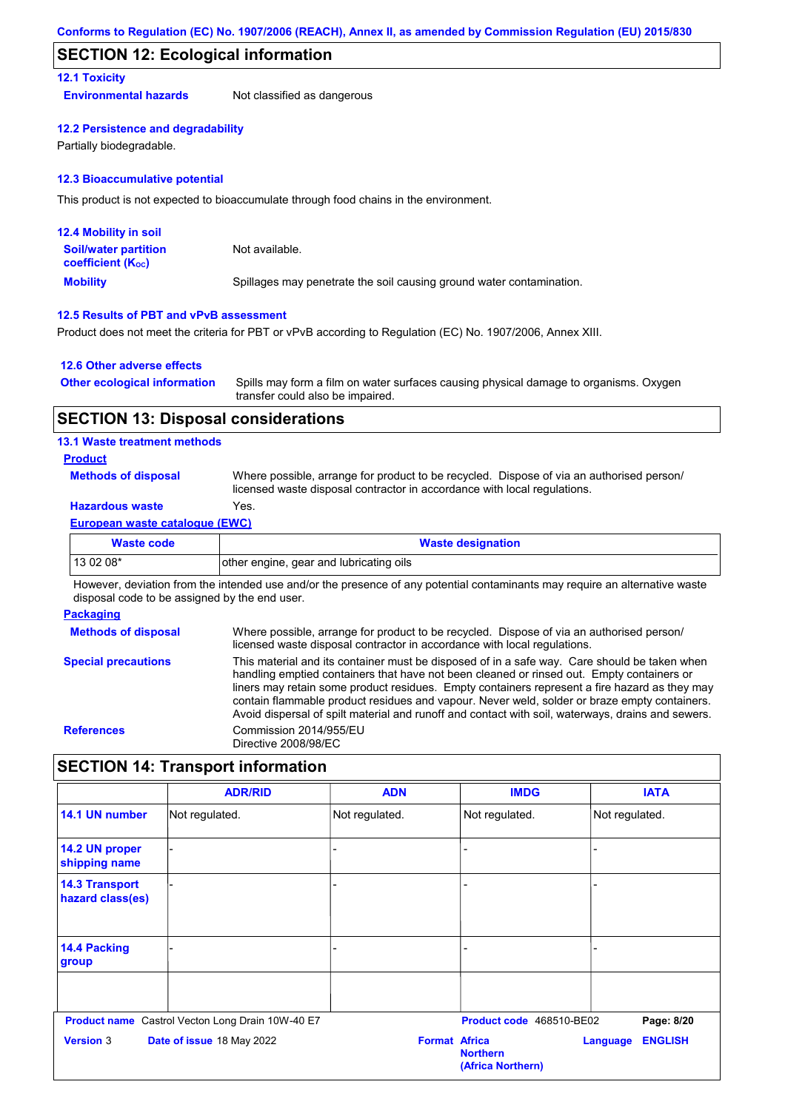### **SECTION 12: Ecological information**

### **12.1 Toxicity**

**Environmental hazards** Not classified as dangerous

#### **12.2 Persistence and degradability**

Partially biodegradable.

#### **12.3 Bioaccumulative potential**

This product is not expected to bioaccumulate through food chains in the environment.

| <b>12.4 Mobility in soil</b>                                  |                                                                      |
|---------------------------------------------------------------|----------------------------------------------------------------------|
| <b>Soil/water partition</b><br>coefficient (K <sub>oc</sub> ) | Not available.                                                       |
| <b>Mobility</b>                                               | Spillages may penetrate the soil causing ground water contamination. |

#### **12.5 Results of PBT and vPvB assessment**

Product does not meet the criteria for PBT or vPvB according to Regulation (EC) No. 1907/2006, Annex XIII.

#### **12.6 Other adverse effects**

| <b>Other ecological information</b> | Spills may form a film on water surfaces causing physical damage to organisms. Oxygen |
|-------------------------------------|---------------------------------------------------------------------------------------|
|                                     | transfer could also be impaired.                                                      |

### **SECTION 13: Disposal considerations**

#### **13.1 Waste treatment methods**

**Product**

**Methods of disposal**

Where possible, arrange for product to be recycled. Dispose of via an authorised person/ licensed waste disposal contractor in accordance with local regulations.

# **Hazardous waste** Yes.

#### **European waste catalogue (EWC)**

| <b>Waste code</b> | <b>Waste designation</b>                |  |
|-------------------|-----------------------------------------|--|
| 13 02 08*         | other engine, gear and lubricating oils |  |

However, deviation from the intended use and/or the presence of any potential contaminants may require an alternative waste disposal code to be assigned by the end user.

#### **Packaging**

| <b>Methods of disposal</b> | Where possible, arrange for product to be recycled. Dispose of via an authorised person/<br>licensed waste disposal contractor in accordance with local regulations.                                                                                                                                                                                                                                                                                                                            |
|----------------------------|-------------------------------------------------------------------------------------------------------------------------------------------------------------------------------------------------------------------------------------------------------------------------------------------------------------------------------------------------------------------------------------------------------------------------------------------------------------------------------------------------|
| <b>Special precautions</b> | This material and its container must be disposed of in a safe way. Care should be taken when<br>handling emptied containers that have not been cleaned or rinsed out. Empty containers or<br>liners may retain some product residues. Empty containers represent a fire hazard as they may<br>contain flammable product residues and vapour. Never weld, solder or braze empty containers.<br>Avoid dispersal of spilt material and runoff and contact with soil, waterways, drains and sewers. |
| <b>References</b>          | Commission 2014/955/EU<br>Directive 2008/98/EC                                                                                                                                                                                                                                                                                                                                                                                                                                                  |

# **SECTION 14: Transport information**

|                                           | <b>ADR/RID</b>                                                                | <b>ADN</b>     | <b>IMDG</b>                                                         | <b>IATA</b>                              |
|-------------------------------------------|-------------------------------------------------------------------------------|----------------|---------------------------------------------------------------------|------------------------------------------|
| 14.1 UN number                            | Not regulated.                                                                | Not regulated. | Not regulated.                                                      | Not regulated.                           |
| 14.2 UN proper<br>shipping name           |                                                                               |                |                                                                     |                                          |
| <b>14.3 Transport</b><br>hazard class(es) |                                                                               |                |                                                                     |                                          |
| 14.4 Packing<br>group                     |                                                                               |                |                                                                     |                                          |
| <b>Version 3</b>                          | Product name Castrol Vecton Long Drain 10W-40 E7<br>Date of issue 18 May 2022 |                | Product code 468510-BE02<br><b>Format Africa</b><br><b>Northern</b> | Page: 8/20<br><b>ENGLISH</b><br>Language |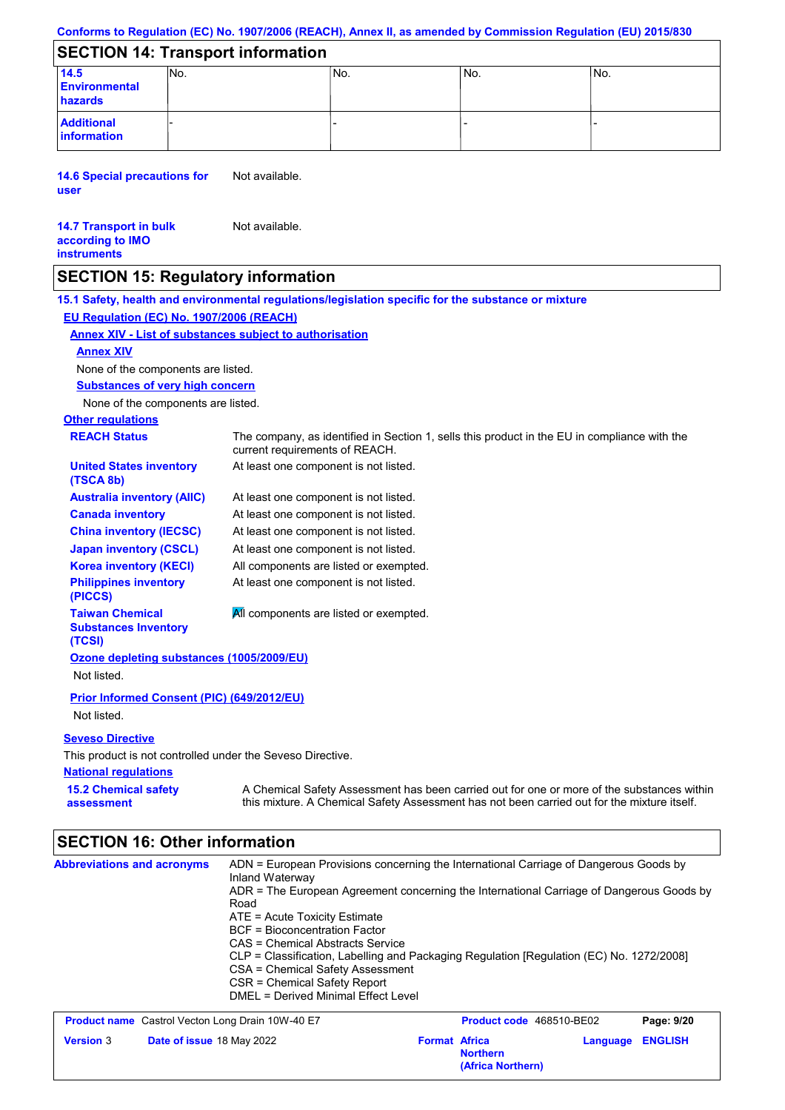#### **Conforms to Regulation (EC) No. 1907/2006 (REACH), Annex II, as amended by Commission Regulation (EU) 2015/830**

# **SECTION 14: Transport information**

| 14.5                             | INo. | 'No. | No. | INo. |
|----------------------------------|------|------|-----|------|
| <b>Environmental</b>             |      |      |     |      |
| hazards                          |      |      |     |      |
| <b>Additional</b><br>information |      |      |     |      |

**14.6 Special precautions for user** Not available.

#### **14.7 Transport in bulk according to IMO instruments** Not available.

# **SECTION 15: Regulatory information**

**National regulations Other regulations REACH Status** The company, as identified in Section 1, sells this product in the EU in compliance with the current requirements of REACH. **15.1 Safety, health and environmental regulations/legislation specific for the substance or mixture EU Regulation (EC) No. 1907/2006 (REACH) Annex XIV - List of substances subject to authorisation 15.2 Chemical safety assessment Substances of very high concern** None of the components are listed. At least one component is not listed. At least one component is not listed. At least one component is not listed. At least one component is not listed. At least one component is not listed. All components are listed or exempted. At least one component is not listed. **United States inventory (TSCA 8b) Australia inventory (AIIC) Canada inventory China inventory (IECSC) Japan inventory (CSCL) Korea inventory (KECI) Philippines inventory (PICCS) Taiwan Chemical Substances Inventory (TCSI)** All components are listed or exempted. **Ozone depleting substances (1005/2009/EU)** Not listed. **Prior Informed Consent (PIC) (649/2012/EU)** Not listed. **Seveso Directive** This product is not controlled under the Seveso Directive. A Chemical Safety Assessment has been carried out for one or more of the substances within this mixture. A Chemical Safety Assessment has not been carried out for the mixture itself. None of the components are listed. **Annex XIV**

# **SECTION 16: Other information**

| <b>Abbreviations and acronyms</b>                       | ADN = European Provisions concerning the International Carriage of Dangerous Goods by<br>Inland Waterway<br>ADR = The European Agreement concerning the International Carriage of Dangerous Goods by<br>Road<br>$ATE = Acute Toxicity Estimate$<br><b>BCF</b> = Bioconcentration Factor<br>CAS = Chemical Abstracts Service<br>CLP = Classification, Labelling and Packaging Regulation [Regulation (EC) No. 1272/2008]<br>CSA = Chemical Safety Assessment<br>CSR = Chemical Safety Report<br>DMEL = Derived Minimal Effect Level |                      |                                      |          |                |
|---------------------------------------------------------|------------------------------------------------------------------------------------------------------------------------------------------------------------------------------------------------------------------------------------------------------------------------------------------------------------------------------------------------------------------------------------------------------------------------------------------------------------------------------------------------------------------------------------|----------------------|--------------------------------------|----------|----------------|
| <b>Product name</b> Castrol Vecton Long Drain 10W-40 E7 |                                                                                                                                                                                                                                                                                                                                                                                                                                                                                                                                    |                      | Product code 468510-BE02             |          | Page: 9/20     |
| <b>Version 3</b><br><b>Date of issue 18 May 2022</b>    |                                                                                                                                                                                                                                                                                                                                                                                                                                                                                                                                    | <b>Format Africa</b> | <b>Northern</b><br>(Africa Northern) | Language | <b>ENGLISH</b> |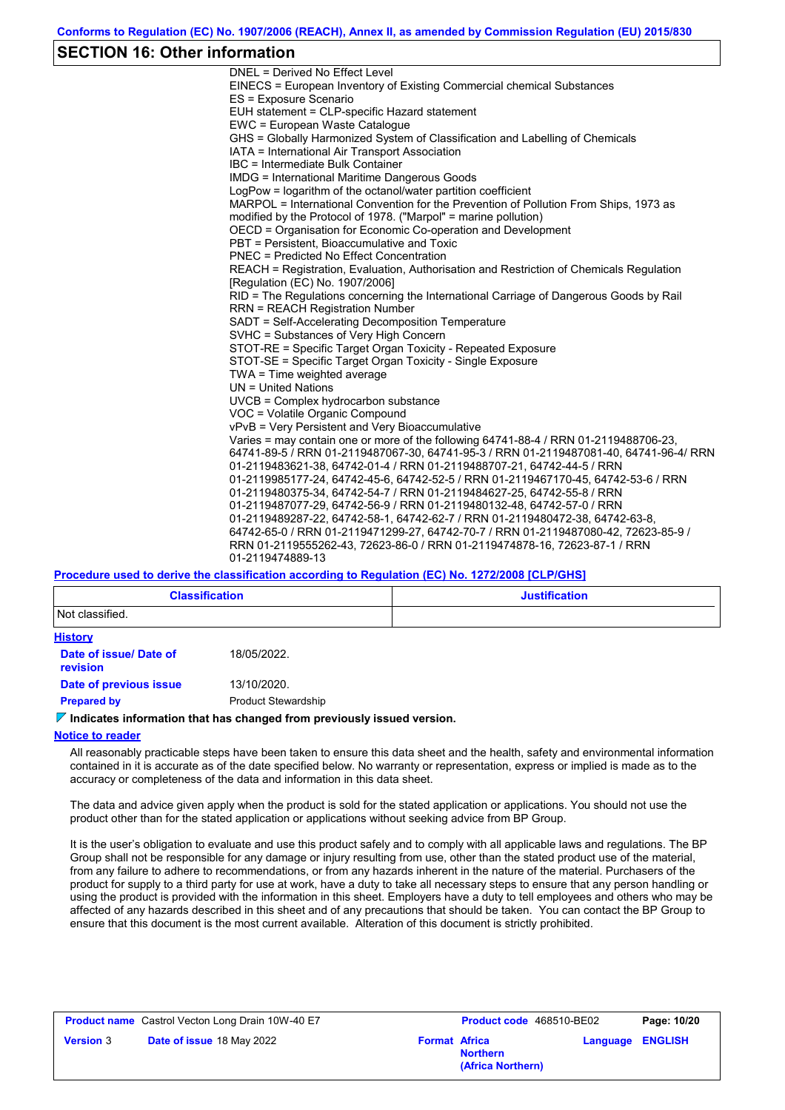# **SECTION 16: Other information**

| DNEL = Derived No Effect Level                                                          |
|-----------------------------------------------------------------------------------------|
| EINECS = European Inventory of Existing Commercial chemical Substances                  |
| ES = Exposure Scenario                                                                  |
| EUH statement = CLP-specific Hazard statement                                           |
| EWC = European Waste Catalogue                                                          |
| GHS = Globally Harmonized System of Classification and Labelling of Chemicals           |
| IATA = International Air Transport Association                                          |
| IBC = Intermediate Bulk Container                                                       |
| <b>IMDG</b> = International Maritime Dangerous Goods                                    |
| LogPow = logarithm of the octanol/water partition coefficient                           |
| MARPOL = International Convention for the Prevention of Pollution From Ships, 1973 as   |
| modified by the Protocol of 1978. ("Marpol" = marine pollution)                         |
| OECD = Organisation for Economic Co-operation and Development                           |
| PBT = Persistent, Bioaccumulative and Toxic                                             |
| PNEC = Predicted No Effect Concentration                                                |
| REACH = Registration, Evaluation, Authorisation and Restriction of Chemicals Regulation |
| [Regulation (EC) No. 1907/2006]                                                         |
| RID = The Regulations concerning the International Carriage of Dangerous Goods by Rail  |
| <b>RRN = REACH Registration Number</b>                                                  |
| SADT = Self-Accelerating Decomposition Temperature                                      |
| SVHC = Substances of Very High Concern                                                  |
| STOT-RE = Specific Target Organ Toxicity - Repeated Exposure                            |
| STOT-SE = Specific Target Organ Toxicity - Single Exposure                              |
| TWA = Time weighted average                                                             |
| $UN = United Nations$                                                                   |
| UVCB = Complex hydrocarbon substance                                                    |
| VOC = Volatile Organic Compound                                                         |
| vPvB = Very Persistent and Very Bioaccumulative                                         |
| Varies = may contain one or more of the following 64741-88-4 / RRN 01-2119488706-23,    |
| 64741-89-5 / RRN 01-2119487067-30, 64741-95-3 / RRN 01-2119487081-40, 64741-96-4/ RRN   |
| 01-2119483621-38, 64742-01-4 / RRN 01-2119488707-21, 64742-44-5 / RRN                   |
| 01-2119985177-24, 64742-45-6, 64742-52-5 / RRN 01-2119467170-45, 64742-53-6 / RRN       |
| 01-2119480375-34, 64742-54-7 / RRN 01-2119484627-25, 64742-55-8 / RRN                   |
| 01-2119487077-29, 64742-56-9 / RRN 01-2119480132-48, 64742-57-0 / RRN                   |
| 01-2119489287-22, 64742-58-1, 64742-62-7 / RRN 01-2119480472-38, 64742-63-8,            |
| 64742-65-0 / RRN 01-2119471299-27, 64742-70-7 / RRN 01-2119487080-42, 72623-85-9 /      |
| RRN 01-2119555262-43, 72623-86-0 / RRN 01-2119474878-16, 72623-87-1 / RRN               |
| 01-2119474889-13                                                                        |

### **Procedure used to derive the classification according to Regulation (EC) No. 1272/2008 [CLP/GHS]**

| <b>Classification</b>                     |                                                                                 | <b>Justification</b> |
|-------------------------------------------|---------------------------------------------------------------------------------|----------------------|
| Not classified.                           |                                                                                 |                      |
| <b>History</b>                            |                                                                                 |                      |
| Date of issue/ Date of<br><b>revision</b> | 18/05/2022.                                                                     |                      |
| Date of previous issue                    | 13/10/2020.                                                                     |                      |
| <b>Prepared by</b>                        | <b>Product Stewardship</b>                                                      |                      |
|                                           | $\nabla$ Indicates information that has changed from previously issued version. |                      |

#### **Notice to reader**

All reasonably practicable steps have been taken to ensure this data sheet and the health, safety and environmental information contained in it is accurate as of the date specified below. No warranty or representation, express or implied is made as to the accuracy or completeness of the data and information in this data sheet.

The data and advice given apply when the product is sold for the stated application or applications. You should not use the product other than for the stated application or applications without seeking advice from BP Group.

It is the user's obligation to evaluate and use this product safely and to comply with all applicable laws and regulations. The BP Group shall not be responsible for any damage or injury resulting from use, other than the stated product use of the material, from any failure to adhere to recommendations, or from any hazards inherent in the nature of the material. Purchasers of the product for supply to a third party for use at work, have a duty to take all necessary steps to ensure that any person handling or using the product is provided with the information in this sheet. Employers have a duty to tell employees and others who may be affected of any hazards described in this sheet and of any precautions that should be taken. You can contact the BP Group to ensure that this document is the most current available. Alteration of this document is strictly prohibited.

|                  | <b>Product name</b> Castrol Vecton Long Drain 10W-40 E7 |                      | Product code 468510-BE02             | Page: 10/20             |
|------------------|---------------------------------------------------------|----------------------|--------------------------------------|-------------------------|
| <b>Version 3</b> | <b>Date of issue 18 May 2022</b>                        | <b>Format Africa</b> | <b>Northern</b><br>(Africa Northern) | <b>Language ENGLISH</b> |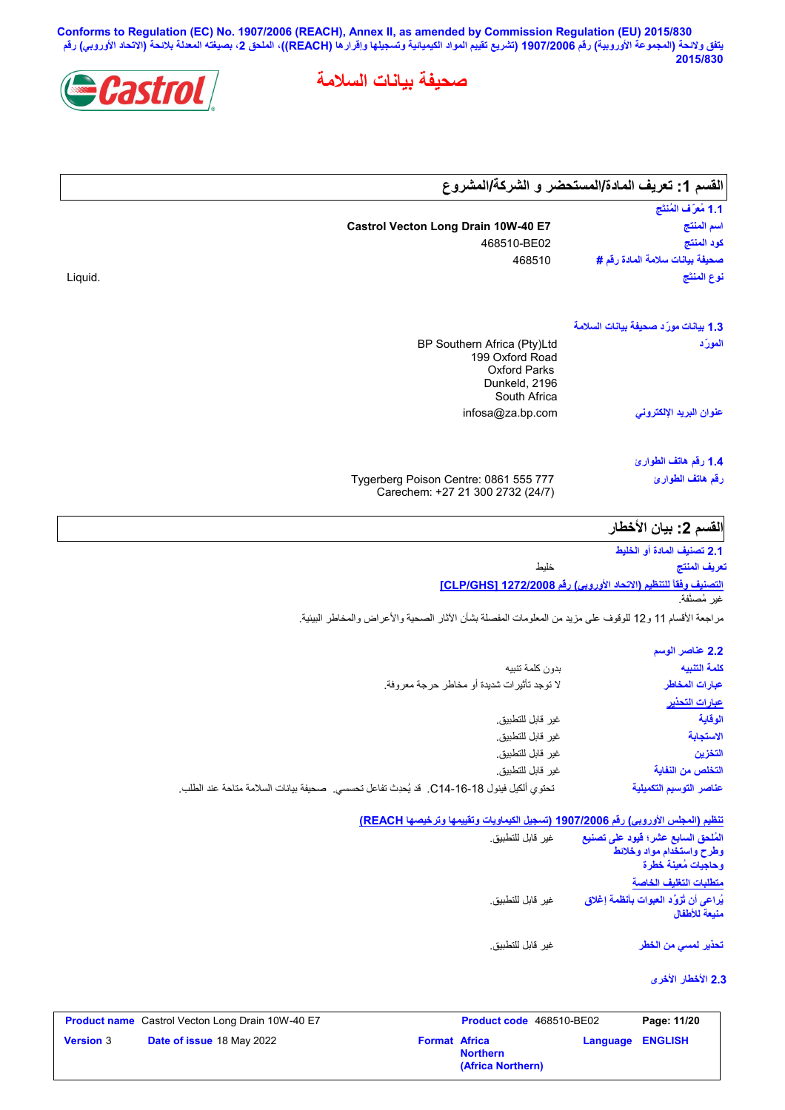**Conforms to Regulation (EC) No. 1907/2006 (REACH), Annex II, as amended by Commission Regulation (EU) 2015/830 یتفق ولائحة (المجموعة الأوروبیة) رقم 1907/2006 (تشریع تقییم المواد الكیمیائیة وتسجیلھا وإقرارھا (REACH((، الملحق ،2 بصیغتھ المعدلة بلائحة (الاتحاد الأوروبي) رقم 2015/830**

**صحیفة بیانات السلامة**



| القسم 1: تعريف المادة/المستحضر و الشركة/المشروع                                                              |                                                                                                          |                                                                                           |
|--------------------------------------------------------------------------------------------------------------|----------------------------------------------------------------------------------------------------------|-------------------------------------------------------------------------------------------|
| 1.1 مُعرَّف المُنتَج                                                                                         |                                                                                                          |                                                                                           |
| اسم المنتج                                                                                                   | Castrol Vecton Long Drain 10W-40 E7                                                                      |                                                                                           |
| كود المنتج<br>صحيفة بيانات سلامة المادة رقم #                                                                | 468510-BE02                                                                                              |                                                                                           |
| نوع المنتَج                                                                                                  | 468510                                                                                                   |                                                                                           |
|                                                                                                              |                                                                                                          | Liquid.                                                                                   |
| 1.3 بيانات مورّد صحيفة بيانات السلامة                                                                        |                                                                                                          |                                                                                           |
| المورّد                                                                                                      | BP Southern Africa (Pty)Ltd<br>199 Oxford Road<br><b>Oxford Parks</b><br>Dunkeld, 2196<br>South Africa   |                                                                                           |
| عنوان البريد الإلكترون <i>ى</i>                                                                              | infosa@za.bp.com                                                                                         |                                                                                           |
| 1.4 رقم هاتف الطوارئ                                                                                         |                                                                                                          |                                                                                           |
| رقم هاتف الطوارئ                                                                                             | Tygerberg Poison Centre: 0861 555 777<br>Carechem: +27 21 300 2732 (24/7)                                |                                                                                           |
| القسم 2: بيان الأخطار                                                                                        |                                                                                                          |                                                                                           |
| 2.1 تصنيف المادة أو الخليط                                                                                   |                                                                                                          |                                                                                           |
| تعريف المنتج                                                                                                 | خليط                                                                                                     |                                                                                           |
|                                                                                                              | مراجعة الأقسام 11 و12 للوقوف على مزيد من المعلومات المفصلة بشأن الأثار الصحية والأعراض والمخاطر البيئية. |                                                                                           |
| التصنيف وفقاً للتنظيم (الاتحاد الأوروبي) رقم <u>1272/2008 [CLP/GHS</u> ]<br>غير مُصنَّفة.<br>2.2 عناصر الوسم |                                                                                                          |                                                                                           |
|                                                                                                              | بدون كلمة تنبيه                                                                                          |                                                                                           |
| كلمة التنبيه<br>عبارات المخاطر                                                                               | لا توجد تأثيرات شديدة أو مخاطر حرجة معروفة.                                                              |                                                                                           |
| <u>عبارات التحذير</u>                                                                                        |                                                                                                          |                                                                                           |
| الوقاية                                                                                                      | غير قابل للتطبيق.                                                                                        |                                                                                           |
| الاستجابة                                                                                                    | غير قابل للتطبيق.                                                                                        |                                                                                           |
| التخزين                                                                                                      | غير قابل للتطبيق.                                                                                        |                                                                                           |
| التخلص من النفاية<br>عناصر التوسيم التكميلية                                                                 | غير قابل للتطبيق.                                                                                        | تحتوي ألكيل فينول 18-16-C14. قد يُحدِث تفاعل تحسسي. صحيفة بيانات السلامة متاحة عند الطلب. |
|                                                                                                              | تنظيم (المجلس الأوروبي) رقم 1907/2006 (تسجيل الكيماويات وتقييمها وترخيصها REACH)                         |                                                                                           |
| المُلحق السابع عشر؛ فيود على تصنيع<br>وطرح واستخدام مواد وخلائط<br>وحاجيات مُعينة خطرة                       | غير قابل للتطبيق.                                                                                        |                                                                                           |
| متطلبات التغليف الخاصة                                                                                       |                                                                                                          |                                                                                           |
| يُراعى أن تُزوَّد العبوات بأنظمة إغلاق<br>منبعة للأطفال                                                      | غير قابل للتطبيق.                                                                                        |                                                                                           |
| تحذير لم <i>سى</i> من الخطر                                                                                  | غير قابل للتطبيق.                                                                                        |                                                                                           |
| 2.3 الأخطار الأخرى                                                                                           |                                                                                                          |                                                                                           |
| Page: 11/20                                                                                                  | Product code 468510-BE02                                                                                 | Product name Castrol Vecton Long Drain 10W-40 E7                                          |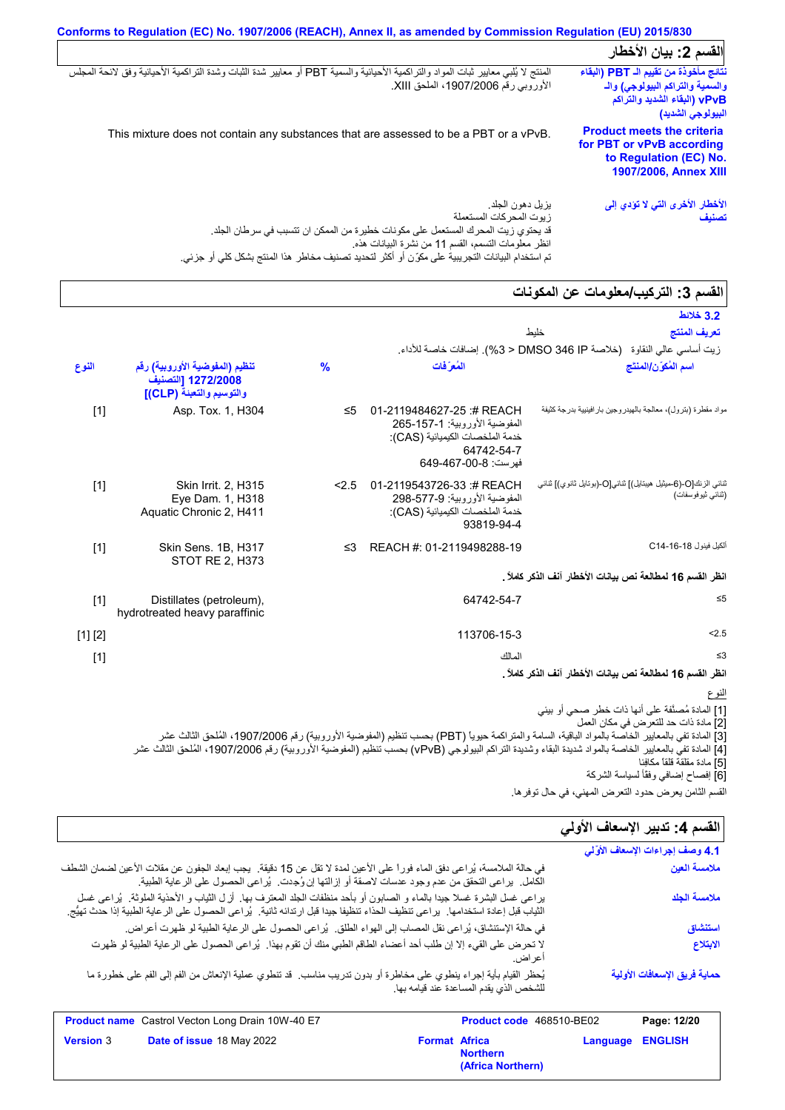| Conforms to Regulation (EC) No. 1907/2006 (REACH), Annex II, as amended by Commission Regulation (EU) 2015/830                                                                                                                                                                              |                                                                                                                                |  |
|---------------------------------------------------------------------------------------------------------------------------------------------------------------------------------------------------------------------------------------------------------------------------------------------|--------------------------------------------------------------------------------------------------------------------------------|--|
|                                                                                                                                                                                                                                                                                             | القسم 2: بيان الأخطار                                                                                                          |  |
| المنتج لا يُلبي معايير ثبات المواد والتراكمية الأحيائية والسمية PBT أو معايير شدة الثبات وشدة التراكمية الأحيائية وفق لائحة المجلس<br>الأوروبي رقم 1907/2006، الملحق XIII.                                                                                                                  | نتائج مأخوذة من تقييم الـ PBT (البقاء<br>والسمية والتراكم البيولوجي) والـ<br>vPvB (البقاء الشديد والتراكم<br>البيولوجي الشديد) |  |
| This mixture does not contain any substances that are assessed to be a PBT or a vPvB.                                                                                                                                                                                                       | <b>Product meets the criteria</b><br>for PBT or vPvB according<br>to Regulation (EC) No.<br>1907/2006, Annex XIII              |  |
| يز بل دهون الجلد.<br>زيوت المحركات المستعملة<br>قد يحتوي زيت المحرك المستعمل على مكونات خطيرة من الممكن ان تتسبب في سرطان الجلد.<br>انظر معلومات التسمم، القسم 11 من نشرة البيانات هذه.<br>تم استخدام البيانات التجريبية على مكوِّن أو أكثر لتحديد تصنيف مخاطر هذا المنتج بشكل كلي أو جزئي. | الأخطار الأخرى التي لا تؤدي إلى<br>تصنيف                                                                                       |  |

# القسم 3: التركيب*|م*علومات عن المكونات

| المسم ں. اسریپ اسٹرمانے کل اسٹریا                                                                                                                                                                                                                                                                                                                                                                                                        |                                                                                                                                  |               |                                                                                  |         |
|------------------------------------------------------------------------------------------------------------------------------------------------------------------------------------------------------------------------------------------------------------------------------------------------------------------------------------------------------------------------------------------------------------------------------------------|----------------------------------------------------------------------------------------------------------------------------------|---------------|----------------------------------------------------------------------------------|---------|
| 3.2 خلائط                                                                                                                                                                                                                                                                                                                                                                                                                                |                                                                                                                                  |               |                                                                                  |         |
| تعريف المنتج<br>خليط                                                                                                                                                                                                                                                                                                                                                                                                                     |                                                                                                                                  |               |                                                                                  |         |
| زيت أساسي عالى النقاوة   (خلاصة DMSO 346 IP < 3%). إضافات خاصة للأداء                                                                                                                                                                                                                                                                                                                                                                    |                                                                                                                                  |               |                                                                                  |         |
| اسم المُكوّن/المنتَج                                                                                                                                                                                                                                                                                                                                                                                                                     | المُعرَفات                                                                                                                       | $\frac{9}{6}$ | تنظيم (المفوضية الأوروبية) رقم<br>1272/2008 [التصنيف<br>والتوسيم والتعبنة (CLP)] | النوع   |
| مواد مقطرة (بترول)، معالجة بالهيدروجين بار افينيية بدرجة كثيفة                                                                                                                                                                                                                                                                                                                                                                           | 01-2119484627-25:#REACH<br>المفوضية الأوروبية: 1-157-265<br>خدمة الملخصات الكيميائية (CAS):<br>64742-54-7<br>فهرست: 8-00-649-649 | ≤5            | Asp. Tox. 1, H304                                                                | $[1]$   |
| ثنائي الزنك[O-(6-ميثيل هيبتايل)] ثنائي[O-(بوتايل ثانوي)] ثنائي<br>(ثنائي ثيوفوسفات)                                                                                                                                                                                                                                                                                                                                                      | 01-2119543726-33 :# REACH<br>المفوضية الأور وبية: 577-57-298<br>خدمة الملخصات الكيميائية (CAS):<br>93819-94-4                    | 2.5           | <b>Skin Irrit. 2, H315</b><br>Eye Dam. 1, H318<br>Aquatic Chronic 2, H411        | $[1]$   |
| ألكيل فينول C14-16-4                                                                                                                                                                                                                                                                                                                                                                                                                     | REACH #: 01-2119498288-19                                                                                                        | ≤3            | Skin Sens. 1B, H317<br><b>STOT RE 2, H373</b>                                    | $[1]$   |
| انظر القسم 16 لمطالعة نص بيانات الأخطار آنف الذكر كاملاً .                                                                                                                                                                                                                                                                                                                                                                               |                                                                                                                                  |               |                                                                                  |         |
| $\leq 5$                                                                                                                                                                                                                                                                                                                                                                                                                                 | 64742-54-7                                                                                                                       |               | Distillates (petroleum),<br>hydrotreated heavy paraffinic                        | [1]     |
| < 2.5                                                                                                                                                                                                                                                                                                                                                                                                                                    | 113706-15-3                                                                                                                      |               |                                                                                  | [1] [2] |
| $\leq$ 3                                                                                                                                                                                                                                                                                                                                                                                                                                 | المالك                                                                                                                           |               |                                                                                  | $[1]$   |
| انظر القسم 16 لمطالعة نص بيانات الأخطار آنف الذكر كاملاً .                                                                                                                                                                                                                                                                                                                                                                               |                                                                                                                                  |               |                                                                                  |         |
| النوع                                                                                                                                                                                                                                                                                                                                                                                                                                    |                                                                                                                                  |               |                                                                                  |         |
| [1] المادة مُصنَّفة على أنها ذات خطر صحى أو بيئي<br>[2] مادة ذات حد للتعرض في مكان العمل<br>[3] المادة تفي بالمعايير الخاصّة بالمواد الباقية، السامة والمتراكمة حيوياً (PBT) بحسب تنظيم (المفوضية الأوروبية) رقم 1907/2006، المُلحق الثالث عشر<br>[4] المادة تفي بالمعايير الخاصة بالمواد شديدة البقاء وشديدة التراكم البيولوجي (vPvB) بحسب تنظيم (المفوضية الأوروبية) رقم 1907/2006، المُلحق الثالث عشر<br>[5] مادة مقلقة قلقاً مكافِئا |                                                                                                                                  |               |                                                                                  |         |

| ا جانات جانب ج<br>القسم الثامن يعرض حدود التعرض المهنى، في حال توفر ها.                                                                                                                                                                                     |                      |                                         |                 |                                  |
|-------------------------------------------------------------------------------------------------------------------------------------------------------------------------------------------------------------------------------------------------------------|----------------------|-----------------------------------------|-----------------|----------------------------------|
|                                                                                                                                                                                                                                                             |                      |                                         |                 | القسم 4: تدبير الإسعاف الأولي    |
|                                                                                                                                                                                                                                                             |                      |                                         |                 | 4.1 وصف إجراءات الإسعاف الأوَّلى |
| في حالة الملامسة، يُراعي دفق الماء فوراً على الأعين لمدة لا تقل عن 15 دقيقة.  يجب إبعاد الجفون عن مقلات الأعين لضمان الشطف<br>الكامل.  يراعي التحقق من عدم وجود عدسات لاصقة أو إزالتها إن وُجدت.  يُراعي الحصول على الرعاية الطبية.                         |                      |                                         | ملامسة العين    |                                  |
| براعي غسل البشرة غسلا جيدًا بالماء و الصابون أو بأحد منظفات الجلد المعترف بها. أزل الثياب و الأحذية الملوثة. يُراعى غسل<br>الثياب قبل إعادة استخدامها.  يراعى تنظيف الحذاء تنظيفا جيدا قبل ارتدائه ثانية.  يُراعى الحصول على الرعاية الطبية إذا حدث تهيُّج. |                      |                                         | ملامسة الجلد    |                                  |
| في حالة الإستنشاق، يُراعي نقل المصاب إلى الهواء الطلق.  يُراعي الحصول على الرعاية الطبية لو ظهرت أعراض.                                                                                                                                                     |                      |                                         | استنشاق         |                                  |
| لا تحرض على القيء إلا إن طلب أحد أعضاء الطاقم الطبي منك أن تقوم بهذا.  يُراعى الحصول على الرعاية الطبية لو ظهرت                                                                                                                                             |                      | اعر اض                                  |                 | الابتلاع                         |
| يُحظر القيام بأية إجراء ينطوي على مخاطرة أو بدون تدريب مناسب. قد تنطوي عملية الإنعاش من الفم إلى الفم على خطورة ما                                                                                                                                          |                      | للشخص الذى يقدم المساعدة عند قيامه بها. |                 | حماية فريق الإسعافات الأولية     |
| <b>Product name</b> Castrol Vecton Long Drain 10W-40 E7                                                                                                                                                                                                     |                      | Product code 468510-BE02                |                 | Page: 12/20                      |
| Date of issue 18 May 2022<br><b>Version 3</b>                                                                                                                                                                                                               | <b>Format Africa</b> | <b>Northern</b>                         | <b>Language</b> | <b>ENGLISH</b>                   |

**(Africa Northern)**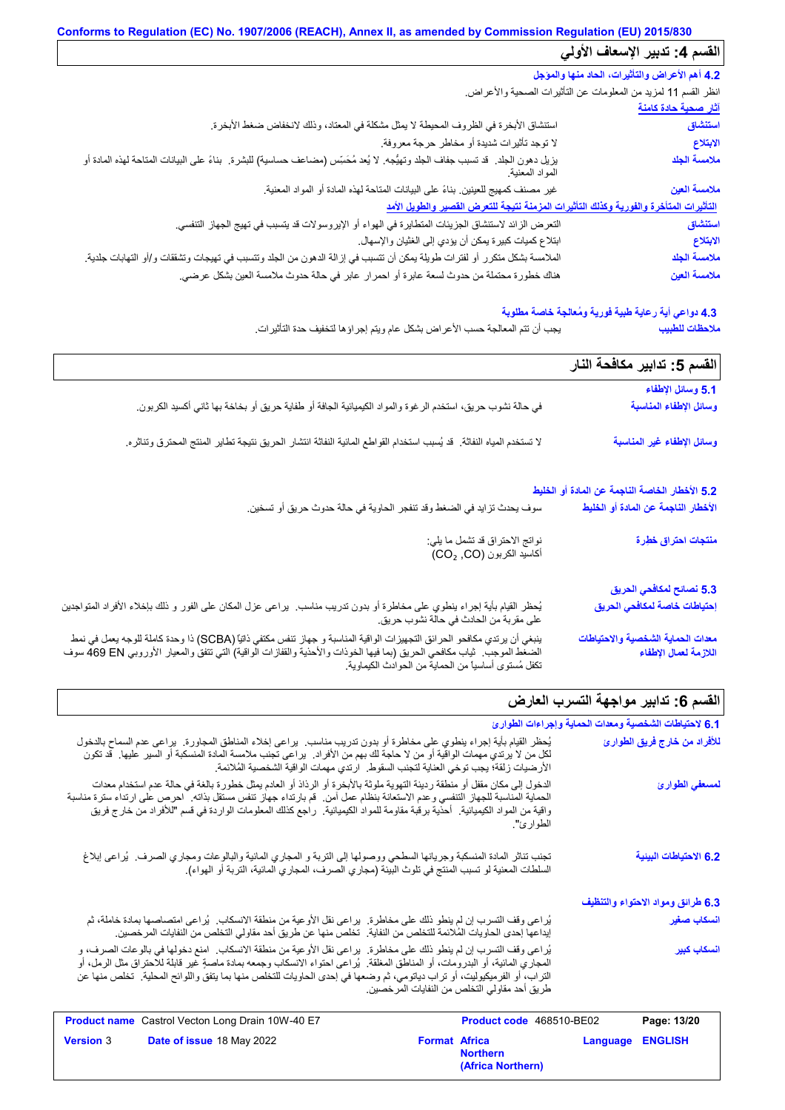# **Conforms to Regulation (EC) No. 1907/2006 (REACH), Annex II, as amended by Commission Regulation (EU) 2015/830 القسم :4 تدبیر الإسعاف الأولي**

| 4.2 أهم الأعراض والتأثيرات، الحاد منها والمؤجل |                                                                                                                                                       |
|------------------------------------------------|-------------------------------------------------------------------------------------------------------------------------------------------------------|
|                                                | انظر القسم 11 لمزيد من المعلومات عن التأثيرات الصحية والأعراض                                                                                         |
| <u>آثار صحية حادة كامنة</u>                    |                                                                                                                                                       |
| استنشاق                                        | استنشاق الأبخرة في الظروف المحيطة لا يمثل مشكلة في المعتاد، وذلك لانخفاض ضغط الأبخرة.                                                                 |
| الابتلاع                                       | لا توجد تأثيرات شديدة أو مخاطر حرجة معروفة.                                                                                                           |
| ملامسة الجلد                                   | يزيل دهون الجلد. قد تسبب جفاف الجلد وتهيُّجه. لا يُعد مُحَسِّس (مضـاعف حساسية) للبشرة.  بناءً على البيانات المتاحة لمهذه المادة أو<br>المواد المعنية. |
| ملامسة العين                                   | غير مصنف كمهيج للعينين بناءً على البيانات المتاحة لهذه المادة أو المواد المعنية.                                                                      |
|                                                | التأثيرات المتأخرة والفورية وكذلك التأثيرات المزمنة نتيجة للتعرض القصير والطويل الأمد                                                                 |
| استنشاق                                        | النعر ض الزائد لاستنشاق الجزيئات المتطايرة في الهواء أو الإيروسولات قد يتسبب في تهيج الجهاز التنفسي.                                                  |
| الابتلاع                                       | ابتلاع كميات كبيرة يمكن أن يؤدي إلى الغثيان والإسهال.                                                                                                 |
| ملامسة الجلد                                   | الملامسة بشكل متكرر أو لفترات طويلة يمكن أن تتسبب في إزالة الدهون من الجلد وتتسبب في تهيجات وتشققات و/أو التهابات جلدية.                              |
| ملامسة العين                                   | هناك خطورة محتملة من حدوث لسعة عابرة أو احمرار عابر في حالة حدوث ملامسة العين بشكل عرضي.                                                              |

# **4.3 دواعي أیة رعایة طبیة فوریة ومُعالجة خاصة مطلوبة**

**ملاحظات للطبیب**

یجب أن تتم المعالجة حسب الأعراض بشكل عام ویتم إجراؤھا لتخفیف حدة التأثیرات.

|                                                                                                                                                                                                                                                                                                              | القسم 5: تدابير مكافحة النار                               |
|--------------------------------------------------------------------------------------------------------------------------------------------------------------------------------------------------------------------------------------------------------------------------------------------------------------|------------------------------------------------------------|
|                                                                                                                                                                                                                                                                                                              | 5.1 وسائل الإطفاء                                          |
| في حالة نشوب حريق، استخدم الرغوة والمواد الكيميائية الجافة أو طفاية حريق أو بخاخة بها ثاني أكسيد الكربون.                                                                                                                                                                                                    | وسائل الإطفاء المناسبة                                     |
| لا تستخدم المياه النفاثة. قد يُسبب استخدام القواطع المائية النفاثة انتشار الحريق نتيجة تطاير المنتج المحترق وتناثره.                                                                                                                                                                                         | وسائل الإطفاء غير المناسبة                                 |
|                                                                                                                                                                                                                                                                                                              | 5.2 الأخطار الخاصة الناجمة عن المادة أو الخليط             |
| سوف يحدث تزايد في الضغط وقد تنفجر الحاوية في حالة حدوث حريق أو تسخين.                                                                                                                                                                                                                                        | الأخطار الناجمة عن المادة أو الخليط                        |
| نواتج الاحتراق قد تشمل ما يلي:<br>أكاسيد الكربون (CO2, CO)                                                                                                                                                                                                                                                   | منتجات احتراق خطرة                                         |
|                                                                                                                                                                                                                                                                                                              | 5.3 نصائح لمكافحي الحريق                                   |
| يُحظر القيام بأية إجراء ينطوي على مخاطرة أو بدون تدريب مناسب.  يراعي عزل المكان على الفور و ذلك بإخلاء الأفراد المتواجنين<br>على مقربة من الحادث في حالة نشوب حريق.                                                                                                                                          | إحتياطات خاصة لمكافحي الحريق                               |
| ينبغي أن يرتدي مكافحو الحر ائق التجهيز ات الواقية المناسبة و جهاز تنفس مكتفي ذاتيًّا (SCBA) ذا وحدة كاملة للوجه يعمل في نمط<br>الضغط الموجب.  ثياب مكافحي الحريق (بما فيها الخوذات والأحذية والقفازات الواقية) التي تتفق والمعيار الأوروبي G9 EN سوف<br>تكفل مُستوى أساسياً من الحماية من الحوادث الكيماوية. | معدات الحماية الشخصية والاحتياطات<br>اللازمة لعمال الإطفاء |

# القسم **6: تدابیر مواجهة التسرب العارض**

|                                   | 6.1 لاحتياطات الشخصية ومعدات الحماية وإجراءات الطوارئ                    |                                              |                                                                                                                                                                                                                                                                                                                                                                                             |                  |
|-----------------------------------|--------------------------------------------------------------------------|----------------------------------------------|---------------------------------------------------------------------------------------------------------------------------------------------------------------------------------------------------------------------------------------------------------------------------------------------------------------------------------------------------------------------------------------------|------------------|
| للأفراد من خارج فريق الطوارئ      |                                                                          |                                              | يُحظر القيام بأية إجراء ينطوي على مخاطرة أو بدون تدريب مناسب. يراعي إخلاء المناطق المجاورة. يراعي عدم السماح بالدخول<br>لكل من لا يرتدي مهمات الواقية أو من لا حاجة لك بهم من الأفراد.  يراعي تجنب ملامسة المادة المنسكبة أو السير  عليها.  قد تكون<br>الأرضيات زلقة؛ يجب توخي العناية لتجنب السقوط.  ارتدي مهمات الواقية الشخصية المُلائمة.                                                |                  |
| لمسعفي الطوارئ                    | الطوار ئ".                                                               |                                              | الدخول إلى مكان مقفل أو منطقة ردينة التهوية ملوثة بالأبخرة أو الرذاذ أو العادم يمثل خطورة بالغة في حالة عدم استخدام معدات<br>الحماية المناسبة للجهاز التنفسي وعدم الاستعانة بنظام عمل آمن.  قم بارتداء جهاز تنفس مستقل بذاته.  احرص على ارتداء سترة مناسبة<br>واقية من المواد الكيميائية.   احذية برقبة مقاومة للمواد الكيميائية.  راجع كذلك المعلومات الواردة في قسم "للافراد من خارج فريق |                  |
| 6.2 الاحتياطات البينية            |                                                                          |                                              | تجنب تناثر المادة المنسكبة وجريانها السطحي ووصولها إلى التربة و المجاري المائية والبالوعات ومجاري الصرف. يُراعى إبلاغ<br>السلطات المعنية لو تسبب المنتج في تلوث البيئة (مجاري الصرف، المجاري المائية، التربة أو الهواء).                                                                                                                                                                    |                  |
| 6.3 طرائق ومواد الاحتواء والتنظيف |                                                                          |                                              |                                                                                                                                                                                                                                                                                                                                                                                             |                  |
| انسكاب صغير                       |                                                                          |                                              | يُراعى وقف التسرب إن لم ينطو ذلك على مخاطرة.  يراعى نقل الأوعية من منطقة الانسكاب.  يُراعى امتصاصمها بمادة خاملة، ثم<br>إيداعها إحدى الحاويات المُلائمة للتخلص من النفاية.  تخلص منها عن طريق أحد مقاولي التخلص من النفايات المرخصين.                                                                                                                                                       |                  |
| انسكاب كبير                       |                                                                          | طريق أحد مقاولي التخلص من النفايات المرخصين. | يُراعي وقف التسرب إن لم ينطو ذلك على مخاطرة.  يراعي نقل الأوعية من منطقة الانسكاب.  امنع دخولها في بالوعات الصرف، و<br>المجاري المائية، أو البدرومات، أو المناطق المغلقة ٍ يُراعى احتواء الانسكاب وجمعه بمادة ماصةٍ غير قابلة للاحتراق مثل الرمل، أو<br>التراب، أو الفرميكيوليت، أو تراب دياتومي، ثم وضعها في إحدى الحاويات للتخلص منها بما يتفق واللوائح المحلية.  تخلص منها عن            |                  |
| Page: 13/20                       | Product code 468510-BE02                                                 |                                              | Product name Castrol Vecton Long Drain 10W-40 E7                                                                                                                                                                                                                                                                                                                                            |                  |
| <b>ENGLISH</b>                    | <b>Format Africa</b><br>Language<br><b>Northern</b><br>(Africa Northern) |                                              | Date of issue 18 May 2022                                                                                                                                                                                                                                                                                                                                                                   | <b>Version 3</b> |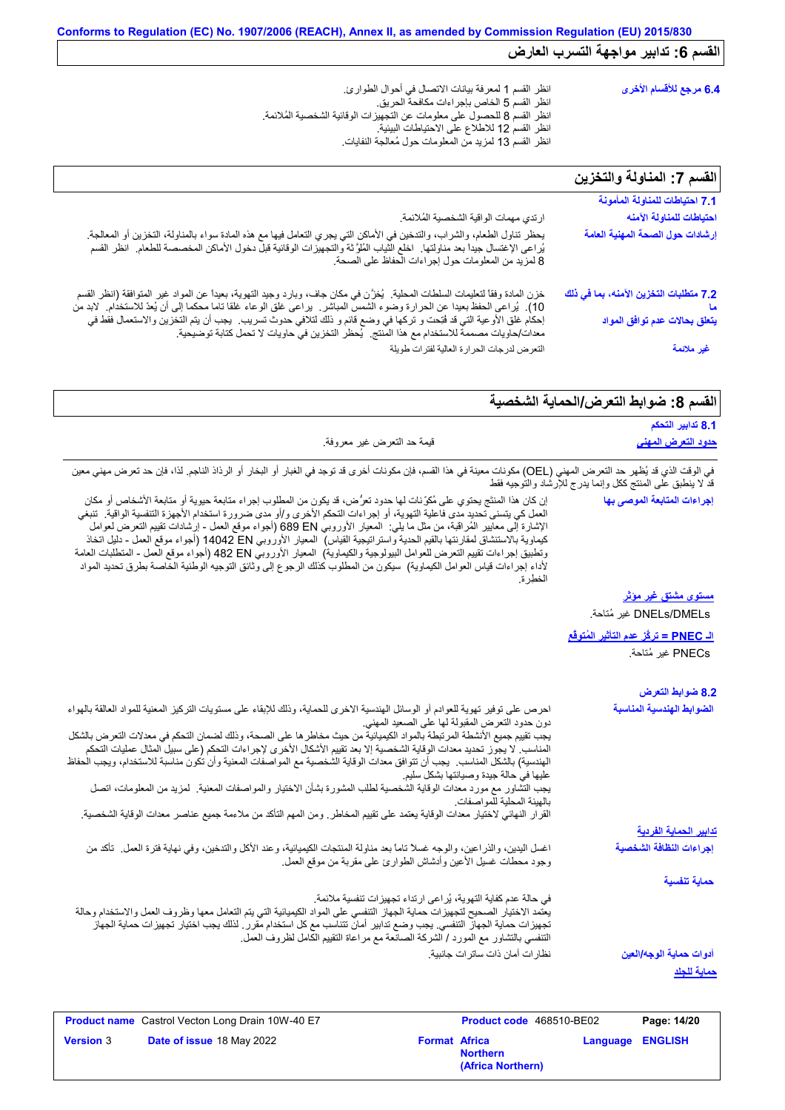| 6.4 مرجع للأقسام الأخرى |
|-------------------------|
|                         |
|                         |
|                         |
|                         |
|                         |
|                         |

|                                                                                                                                                                                                                                                                                                                                                                                                                                                                                     | القسم 7: المناولة والتخزين                                                           |
|-------------------------------------------------------------------------------------------------------------------------------------------------------------------------------------------------------------------------------------------------------------------------------------------------------------------------------------------------------------------------------------------------------------------------------------------------------------------------------------|--------------------------------------------------------------------------------------|
|                                                                                                                                                                                                                                                                                                                                                                                                                                                                                     | 7.1 احتياطات للمناولة المأمونة                                                       |
| ارتدي مهمات الواقية الشخصية المُلائمة.                                                                                                                                                                                                                                                                                                                                                                                                                                              | احتياطات للمناولة الآمنه                                                             |
| يحظر تناول الطعام، والشراب، والتدخين في الأماكن التي يجري التعامل فيها مع هذه المادة سواء بالمناولة، التخزين أو المعالجة<br>يُراعى الإغتسال جيداً بعد مناولتها ِ اخلع الثياب المُلوَّثة والتجهيزات الوقائية قبل دخول الأماكن الم                                                                                                                                                                                                                                                    | إرشادات حول الصحة المهنية العامة                                                     |
| خزن المادة وفقاً لتعليمات السلطات المحلية.  يُخزَّن في مكان جاف، وبارد وجيد التهوية، بعيداً عن المواد غير المتوافقة (انظر القسم<br>10).  يُراعى الحفظ بعيدا عن الحرارة وضوء الشمس المباشر   براعى غلق الوعاء غلقا ناما محكما إلى أن يُعدّ للاستخدام   لابد من<br>إحكام غلق الأوعية التي قد فُتِحت و تركها في وضع قائم و ذلك لتلافي حدوث تسريب.  يجب أن يتم التخزين والاستعمال فقط في<br>معدات/حاويات مصممة للاستخدام مع هذا المنتج.  يُحظر التخزين في حاويات لا تحمل كتابة توضيحية. | 7.2 متطلبات التخزين الآمنه، بما في ذلك<br><mark>يتعلق بحالات عدم توافق المواد</mark> |
| التعرض لدرجات الحرارة العالية لفترات طويلة                                                                                                                                                                                                                                                                                                                                                                                                                                          | غير ملائمة                                                                           |

# القسم 8: ضوابط التعرض/الحماية الشخصية

|                                                                                                                                                                                                                           | 8.1 تدابير التحكم         |
|---------------------------------------------------------------------------------------------------------------------------------------------------------------------------------------------------------------------------|---------------------------|
| قيمة حد النعرض غير معروفة.                                                                                                                                                                                                | <u>حدود التعرض المهنى</u> |
|                                                                                                                                                                                                                           |                           |
| في الوقت الذي قد يُظهر حد التعرض المهني (OEL) مكونات معينة في هذا القسم، فإن مكونات أخرى قد توجد في الغبار أو الراد الله الذاجم. لذا، فإن حد تعرض مهني معين<br>قد لا ينطبق على المنتج ككل وإنما يدرج للإرشاد والتوجيه فقط |                           |

|                  | إن كان هذا المنتَج يحتوي على مُكرِّنات لها حدود تعرُّض، قد يكون من المطلوب إجراء متابعة حيوية أو متابعة الأشخاص أو مكان<br>العمل كي يتسنى تحديد مدى فاعلية التهوية، أو إجراءات التحكم الأخرى و/أو مدى ضرورة استخدام الأجهزة التنفسية الواقية.  تنبغي<br>الإشارة إلى معايير الْمُراقَبة، من مثل ما يلي:  المعيار الأوروبي 689 EN (أجواء موقع العمل - إرشادات نقييم النعرض لعوامل<br>كيماوية بالاستنشاق لمقارنتها بالقيم الحدية واستراتيجية القياس)  المعيار الأوروبي 14042 D إأجواء موقع العمل - دليل اتخاذ<br>وتطبيق إجراءات تقييم النعرض للعوامل البيولوجية والكيماوية)  المعيار الأوروبي 482 Bd (أجواء موقع العمل - المتطلبات العامة<br>لأداء إجراءات قياس العوامل الكيماوية)  سيكون من المطلوب كذلك الرجو ع إلى وثائق التوجيه الوطنية الخاصة بطرق تحديد المواد          |                      | الخطر ة                                                                                                               |                 | ء چسبی سے ایکسن سی رہت چار ، انہریت<br>إجراءات المتابعة الموصى بها |
|------------------|----------------------------------------------------------------------------------------------------------------------------------------------------------------------------------------------------------------------------------------------------------------------------------------------------------------------------------------------------------------------------------------------------------------------------------------------------------------------------------------------------------------------------------------------------------------------------------------------------------------------------------------------------------------------------------------------------------------------------------------------------------------------------|----------------------|-----------------------------------------------------------------------------------------------------------------------|-----------------|--------------------------------------------------------------------|
|                  |                                                                                                                                                                                                                                                                                                                                                                                                                                                                                                                                                                                                                                                                                                                                                                            |                      |                                                                                                                       |                 | <u>مستوى مشتق غير مؤثر</u>                                         |
|                  |                                                                                                                                                                                                                                                                                                                                                                                                                                                                                                                                                                                                                                                                                                                                                                            |                      |                                                                                                                       |                 | DNELs/DMELs غير مُتاحة.                                            |
|                  |                                                                                                                                                                                                                                                                                                                                                                                                                                                                                                                                                                                                                                                                                                                                                                            |                      |                                                                                                                       |                 | الـ PNEC = تركَّز عدم التأثير المُتوفَّع                           |
|                  |                                                                                                                                                                                                                                                                                                                                                                                                                                                                                                                                                                                                                                                                                                                                                                            |                      |                                                                                                                       |                 | PNECs غير مُتاحة.                                                  |
|                  |                                                                                                                                                                                                                                                                                                                                                                                                                                                                                                                                                                                                                                                                                                                                                                            |                      |                                                                                                                       |                 | 8.2 ضوابط التعرض                                                   |
|                  | احرص على توفير تهوية للعوادم أو الوسائل الهندسية الاخرى للحماية، وذلك للإبقاء على مستويات التركيز المعنية للمواد العالقة بالهواء<br>يجب تقييم جميع الأنشطة المرتبطة بالمواد الكيميائية من حيث مخاطر ها على الصحة، وذلك لضمان التحكم في معدلات التعرض بالشكل<br>المناسب. لا يجوز تحديد معدات الوقاية الشخصية إلا بعد تقييم الأشكال الأخر ى لإجراءات التحكم ( على سبيل المثال عمليات التحكم<br>الهندسية) بالشكل المناسب.  يجب أن نتوافق معدات الوقاية الشخصية مع المواصفات المعنية وأن تكون مناسبة للاستخدام، ويجب الحفاظ<br>يجب التشاور مع مورد معدات الوقاية الشخصية لطلب المشورة بشأن الاختيار والمواصفات المعنية لمزيد من المعلومات، اتصل<br>القرار النهائي لاختيار معدات الوقاية يعتمد على تقييم المخاطر ـ ومن المهم التأكد من ملاءمة جميع عناصر معدات الوقاية الشخصية. |                      | دون حدود التعرض المقبولة لها على الصعيد المهني<br>عليها في حالة جيدة وصيانتها بشكل سليم<br>بالهيئة المحلية للمو اصفات |                 | الضوابط الهندسية المناسبة                                          |
|                  |                                                                                                                                                                                                                                                                                                                                                                                                                                                                                                                                                                                                                                                                                                                                                                            |                      |                                                                                                                       |                 | <u>تدابير الحماية الفردية</u>                                      |
|                  | اغسل اليدين، والذراعين، والوجه غسلاً ناماً بعد مناولة المنتجات الكيميائية، وعند الأكل والتدخين، وفي نهاية فترة العمل ِ تأكد من<br>وجود محطات غسل الأعين وأدشاش الطوارئ على مقربة من موقع العمل.                                                                                                                                                                                                                                                                                                                                                                                                                                                                                                                                                                            |                      |                                                                                                                       |                 | إجراءات النظافة الشخصية                                            |
|                  |                                                                                                                                                                                                                                                                                                                                                                                                                                                                                                                                                                                                                                                                                                                                                                            |                      |                                                                                                                       |                 | حماية تنفسية                                                       |
|                  | في حالة عدم كفاية التهوية، يُراعى ارتداء تجهيزات تنفسية ملائمة.<br>يعتمد الاختيار الصحيح لتجهيزات حماية الجهاز التنفسي على المواد الكيميائية التي يتم التعامل معها وظروف العمل والاستخدام وحالة<br>تجهيز ات حماية الجهاز التنفسي. يجب وضع تدابير أمان تتناسب مع كل استخدام مقرر . لذلك يجب اختيار تجهيز ات حماية الجهاز<br>التنفسي بالتشاور مع المورد / الشركة الصانعة مع مراعاة التقييم الكامل لظروف العمل                                                                                                                                                                                                                                                                                                                                                                |                      | نظار ات أمان ذات ساتر ات جانبية.                                                                                      |                 | أدوات حماية الوجه/العين<br><u>حماية للجلد</u>                      |
|                  |                                                                                                                                                                                                                                                                                                                                                                                                                                                                                                                                                                                                                                                                                                                                                                            |                      |                                                                                                                       |                 |                                                                    |
|                  | Product name Castrol Vecton Long Drain 10W-40 E7                                                                                                                                                                                                                                                                                                                                                                                                                                                                                                                                                                                                                                                                                                                           |                      | Product code 468510-BE02                                                                                              |                 | Page: 14/20                                                        |
| <b>Version 3</b> | Date of issue 18 May 2022                                                                                                                                                                                                                                                                                                                                                                                                                                                                                                                                                                                                                                                                                                                                                  | <b>Format Africa</b> | <b>Northern</b>                                                                                                       | <b>Language</b> | <b>ENGLISH</b>                                                     |

**(Africa Northern)**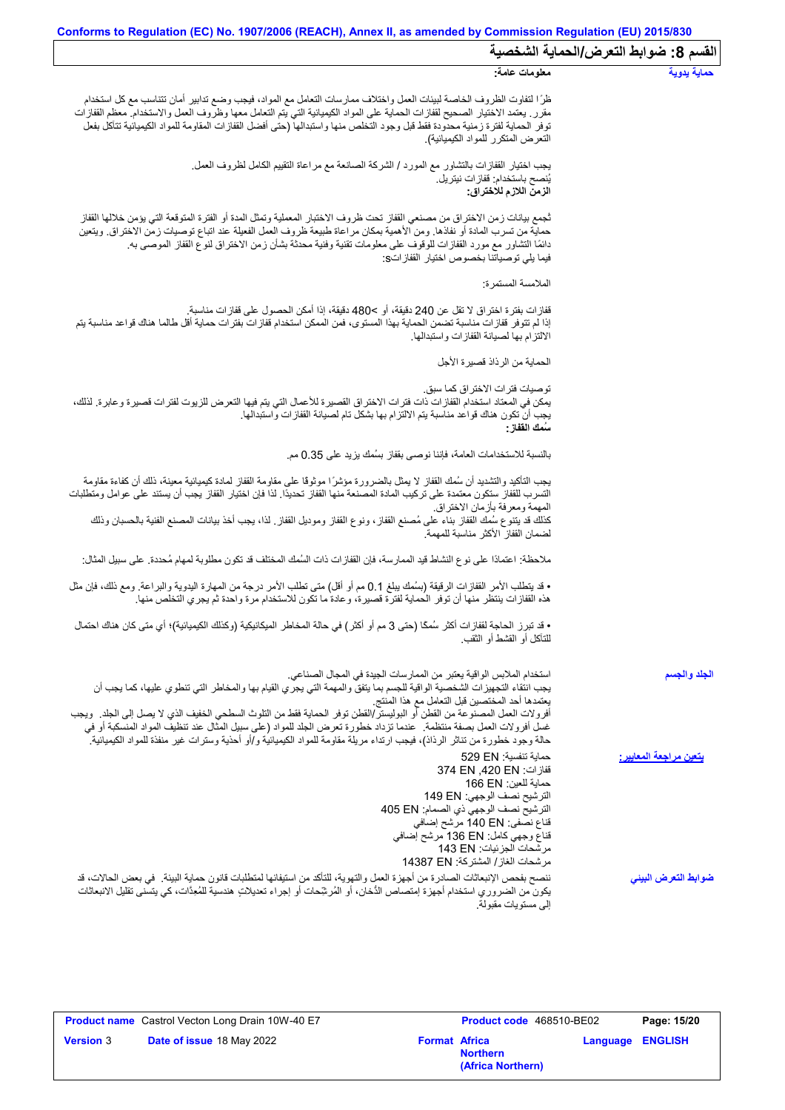| القسم 8: ضوابط التعرض/الحماية الشخصية |                                                                                                                                                                                                                                                                                                                                                                                                                                                                                                                                                                                                                                      |
|---------------------------------------|--------------------------------------------------------------------------------------------------------------------------------------------------------------------------------------------------------------------------------------------------------------------------------------------------------------------------------------------------------------------------------------------------------------------------------------------------------------------------------------------------------------------------------------------------------------------------------------------------------------------------------------|
| حماية يدوية                           | معلومات عامة:                                                                                                                                                                                                                                                                                                                                                                                                                                                                                                                                                                                                                        |
|                                       | ظرًا لتفاوت الظروف الخاصة لبيئات العمل واختلاف ممارسات التعامل مع المواد، فيجب وضع تدابير أمان تتناسب مع كل استخدام<br>مقرر ٍ يعتمد الاختيار الصحيح لقفازات الحماية على المواد الكيميائية التي يتم التعامل معها وظروف العمل والاستخدام معظم القفازات<br>توفر الحماية لفترة زمنية محدودة فقط قبل وجود التخلص منها واستبدالها (حتى أفضل القفازات المقاومة للمواد الكيميائية تتآكل بفعل<br>التعرض المتكرر للمواد الكيميائية)                                                                                                                                                                                                            |
|                                       | يجب اختيار القفازات بالتشاور مع المورد / الشركة الصانعة مع مراعاة التقييم الكامل لظروف العمل.<br>يُنصح باستخدام: قفاز ات نيتريل.<br>الزمن اللازم للاختراق:                                                                                                                                                                                                                                                                                                                                                                                                                                                                           |
|                                       | ثجمع بيانات زمن الاختراق من مصنعي القفاز تحت ظروف الاختبار المعملية وتمثل المدة أو الفترة المتوقعة التي يؤمن خلالها القفاز<br>حماية من تسرب المادة أو نفاذها. ومن الأهمية بمكان مراعاة طبيعة ظروف العمل الفعيلة عند اتباع توصيات زمن الاختراق. ويتعين<br>دائمًا التشاور مع مورد القفازات للوقوف على معلومات تقنية وفنية محدثة بشأن زمن الاختراق لنوع القفاز الموصىي به<br>فيما يلي توصياتنا بخصوص اختيار  القفاز اتs:                                                                                                                                                                                                                |
|                                       | الملامسة المستمر ة:                                                                                                                                                                                                                                                                                                                                                                                                                                                                                                                                                                                                                  |
|                                       | قفازات بفترة اختراق لا تقل عن 240 دقيقة، أو >480 دقيقة، إذا أمكن الحصول على قفازات مناسبة.<br>إذا لم تتوفر قفازات مناسبة تضمن الحماية بهذا المستوى، فمن الممكن استخدام قفازات بفترات حماية أقل طالما هناك قواعد مناسبة يتم<br>الالتز ام بها لصيانة القفاز ات و استبدالها.                                                                                                                                                                                                                                                                                                                                                            |
|                                       | الحماية من الرذاذ قصيرة الأجل                                                                                                                                                                                                                                                                                                                                                                                                                                                                                                                                                                                                        |
|                                       | توصيات فتر ات الاختر اق كما سبق.<br>يمكن في المعتاد استخدام القفازات ذات فترات الاختراق القصيرة للأعمال التي يتم فيها التعرض للزيوت لفترات قصيرة وعابرة. لذلك،<br>يجب أن تكون هناك قواعد مناسبة يتم الالتزام بها بشكل تام لصبيانة القفاز ات واستبدالها.<br>سَمك الففاز :                                                                                                                                                                                                                                                                                                                                                             |
|                                       | بالنسبة للاستخدامات العامة، فإننا نوصي بقفاز بسُمك يزيد على 0.35 مم.                                                                                                                                                                                                                                                                                                                                                                                                                                                                                                                                                                 |
|                                       | يجب التأكيد والتشديد أن سُمك القفاز لا يمثل بالضرورة مؤشرًا موثوقًا على مقاومة القفاز لمادة كيميائية معينة، ذلك أن كفاءة مقاومة<br>التسرب للقفاز ستكون معتمدة على تركيب المادة المصنعة منها القفاز تحديدًا. لذا فإن اختيار القفاز يجب أن يستند على عوامل ومتطلبات                                                                                                                                                                                                                                                                                                                                                                    |
|                                       | المهمة ومعرفة بازمان الاختراق.<br>كذلك قد يتنوع سُمك القفاز بناء على مُصنع القفاز ، ونوع القفاز وموديل القفاز ٍ لذا، يجب أخذ بيانات المصنع الفنية بالحسبان وذلك<br>لضمان القفاز الأكثر مناسبة للمهمة                                                                                                                                                                                                                                                                                                                                                                                                                                 |
|                                       | ملاحظة: اعتمادًا على نوع النشاط قيد الممارسة، فإن القفازات ذات السُمك المختلف قد تكون مطلوبة لمهام مُحددة. على سبيل المثال:                                                                                                                                                                                                                                                                                                                                                                                                                                                                                                          |
|                                       | • قد يتطلب الأمر القفازات الرقيقة (بسُمك يبلغ 0.1 مم أو أقل) متى تطلب الأمر درجة من المهارة اليدوية والبراعة. ومع ذلك، فإن مثل<br>هذه القفازات ينتظر منها أن توفر الحماية لفترة قصيرة، وعادة ما تكون للاستخدام مرة واحدة ثم يجري التخلص منها.                                                                                                                                                                                                                                                                                                                                                                                        |
|                                       | • قد تبرز الحاجة لقفازات أكثر سُمكًا (حتى 3 مم أو أكثر) في حالة المخاطر الميكانيكية (وكذلك الكيميائية)؛ أي متى كان هناك احتمال<br>للتآكل أو القشط أو الثقب                                                                                                                                                                                                                                                                                                                                                                                                                                                                           |
| الجلد والجسم                          | استخدام الملابس الواقية يعتبر من الممارسات الجيدة في المجال الصناعي.<br>يجب انتقاء التجهيزات الشخصية الواقية للجسم بما يتفق والمهمة التي يجري القيام بها والمخاطر التي تنطوي عليها، كما يجب أن<br>يعتمدها أحد المختصبين قبل التعامل مع هذا المنتج<br>أفرولات العمل المصنوعة من القطن أو البوليستر/القطن توفر الحماية فقط من التلوث السطحي الخفيف الذي لا يصل إلى الجلد ٍ ويجب<br>غسل أفرولات العمل بصفة منتظمة ٍ عندما تزداد خطورة تعرض الجلد للمواد (على سبيل المثال عند تنظيف المواد المنسكبة أو في<br>حالة وجود خطورة من تناثر الرذاذ)، فيجب ارتداء مريلة مقاومة للمواد الكيميائية و/أو أحذية وسترات غير منفذة للمواد الكيميائية. |
| يتعين مراجعة المعايي <u>ر :</u>       | حماية تنفسية: 529 EN<br>قفازات: 374 EN ,420 EN<br>حماية للعين: 166 EN<br>الترشيح نصف الوجهي: 149 EN<br>الترشيح نصف الوجهي ذي الصمام: 405 EN<br>قناع نصفي: 140 EN مرشح إضافي<br>قفاع وجهي كامل: 136 EN مرشح إضافي<br>مر شحات الجز ئيات: 143 EN<br>مرشحات الغاز/ المشتركة: 14387 EN                                                                                                                                                                                                                                                                                                                                                    |
| ضوابط التعرض البينى                   | ننصح بفحص الإنبعاثات الصادرة من أجهزة العمل والتهوية، للتأكد من استيفائها لمتطلبات قانون حماية البيئة _ في بعض الحالات، قد<br>يكون من الضروري استخدام أجهزة إمتصاص الدُّخان، أو المُرشِّحات أو إجراء تعديلاتٍ هندسية للمُعِدَّات، كي يتسنى تقليل الانبعاثات<br>البي مستويات مقبولة.                                                                                                                                                                                                                                                                                                                                                  |

|                  | <b>Product name</b> Castrol Vecton Long Drain 10W-40 E7 |                      | <b>Product code</b> 468510-BE02      |                         | Page: 15/20 |
|------------------|---------------------------------------------------------|----------------------|--------------------------------------|-------------------------|-------------|
| <b>Version 3</b> | Date of issue 18 May 2022                               | <b>Format Africa</b> | <b>Northern</b><br>(Africa Northern) | <b>Language ENGLISH</b> |             |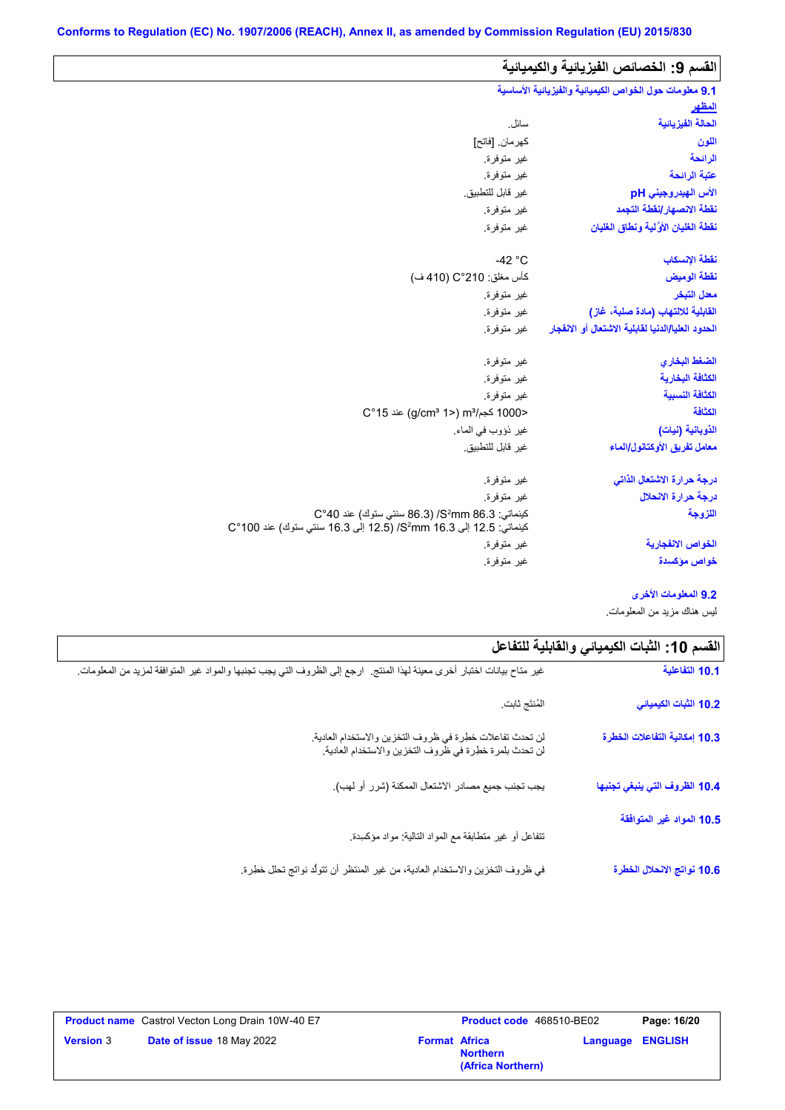| القسم 9: الخصائص الفيزيائية والكيميائية                |                                                                                                                   |
|--------------------------------------------------------|-------------------------------------------------------------------------------------------------------------------|
| 9.1 معلومات حول الخواص الكيميائية والفيزيائية الأساسية |                                                                                                                   |
| المظهر                                                 |                                                                                                                   |
| الحالة الفيزيانية                                      | سائل.                                                                                                             |
| اللون                                                  | كهر مان. [فاتح]                                                                                                   |
| الرائحة                                                | غير متوفرة.                                                                                                       |
| عتبة الرائحة                                           | غير متوفرة.                                                                                                       |
| الأس الهيدروجيني pH                                    | غير قابل للتطبيق.                                                                                                 |
| نقطة الانصهار إنقطة التجمد                             | غير متوفرة.                                                                                                       |
| نفطة الغليان الأوَّلية ونطاق الغليان                   | غير متوفرة.                                                                                                       |
| نقطة الإنسكاب                                          | -42 $^{\circ}$ C                                                                                                  |
| نقطة الوميض                                            | كأس مغلق: 210°C (410 ف)                                                                                           |
| معدل التبخر                                            | غير متوفرة.                                                                                                       |
| القابلية للالتهاب (مادة صلبة، غاز)                     | غير متوفرة.                                                                                                       |
| الحدود العليا/الدنيا لقابلية الاشتعال أو الانفجار      | غير متوفرة.                                                                                                       |
| الضغط البخاري                                          | غير متوفرة.                                                                                                       |
| الكثافة البخارية                                       | غير متوفرة.                                                                                                       |
| الكثافة النسبية                                        | غير متوفرة.                                                                                                       |
| الكثافة                                                | <1000 كجم/m3 (2°15) m3 عند 15°C                                                                                   |
| الذوبانية (نبات)                                       | غير ذؤوب في الماء.                                                                                                |
| معامل تفريق الأوكتانول/الماء                           | غير قابل للتطبيق.                                                                                                 |
| درجة حرارة الاشتعال الذاتى                             | غير متوفرة.                                                                                                       |
| درجة حرارة الانحلال                                    | غير متوفرة.                                                                                                       |
| اللزوجة                                                | كينماتي: S2mm 86.3/ (86.3 سنتي ستوك) عند C°40<br>كينماتي: 12.5 إلى 3.16 S2mm/ (12.5 إلى 16.3 سنتي ستوك) عند 100°C |
| الخواص الانفجارية                                      | غير متوفرة.                                                                                                       |
| خواص مؤكسيدة                                           | غير متوفرة.                                                                                                       |

**9.2 المعلومات الأخرى**

لیس ھناك مزید من المعلومات.

| القسم 10: الثبات الكيميائي والقابلية للتفاعل |                                                                                                                           |
|----------------------------------------------|---------------------------------------------------------------------------------------------------------------------------|
| 10.1 التفاعلية                               | غير متاح بيانات اختبار أخرى معينة لهذا المنتج.  ارجع إلى الظروف التي يجب تجنبها والمواد غير المتوافقة لمزيد من المعلومات. |
| 10.2 الثبات الكيميائي                        | المُنتَج ثابت                                                                                                             |
| 10.3 إمكانية التفاعلات الخطرة                | لن تحدث تفاعلات خطرة في ظروف التخزين والاستخدام العادية.<br>لن تحدث بلمرة خطرة في ظروف التخزين والاستخدام العادية.        |
| 10.4 الظروف التي ينبغي تجنبها                | يجب تجنب جميع مصادر الاشتعال الممكنة (شرر أو لهب).                                                                        |
| 10.5 المواد غير المتوافقة                    | نتفاعل أو غير متطابقة مع المواد النالية: مواد مؤكسدة.                                                                     |
| 10.6 نواتج الانحلال الخطرة                   | في ظروف التخزين والاستخدام العادية، من غير المنتظر أن تتولَّد نواتج تحلل خطِرة.                                           |

|                  | <b>Product name</b> Castrol Vecton Long Drain 10W-40 E7 |                      | <b>Product code</b> 468510-BE02      |                         | Page: 16/20 |
|------------------|---------------------------------------------------------|----------------------|--------------------------------------|-------------------------|-------------|
| <b>Version 3</b> | <b>Date of issue 18 May 2022</b>                        | <b>Format Africa</b> | <b>Northern</b><br>(Africa Northern) | <b>Language ENGLISH</b> |             |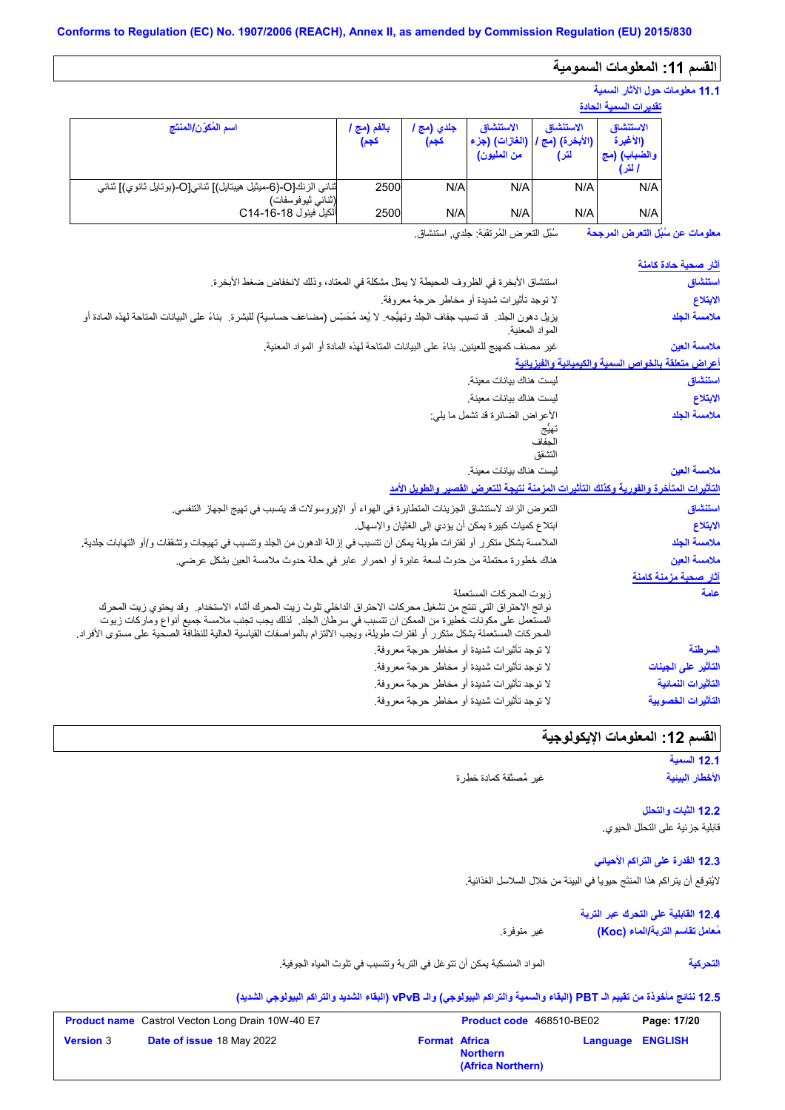# **القسم :11 المعلومات السمومیة**

|                                                                                     |                       |                    |                                            |                                      | 11.1 معلومات حول الآثار السمية                  |  |
|-------------------------------------------------------------------------------------|-----------------------|--------------------|--------------------------------------------|--------------------------------------|-------------------------------------------------|--|
|                                                                                     | تقديرات السمية الحادة |                    |                                            |                                      |                                                 |  |
| اسم المُكوّن/المنتَج                                                                | بالفم (مج ا<br>كجم)   | جلدي (مج ا<br>كجم) | الاستنشاق<br>(الغازات) (جزء<br>من المليون) | الاستنشاق<br>(الأبخرة) (مج /<br>لتر) | الاستنشاق<br>(الأغبرة<br>والضباب) (مج<br>ا لتر) |  |
| ثنائي الزنك[O-(6-ميثيل هيبتايل)] ثنائي[O-(بوتايل ثانوي)] ثنائي<br>(ثنائي ثيوفوسفات) | 2500                  | N/A                | N/A                                        | N/A                                  | N/A                                             |  |
| ألكيل فينول C14-16-4                                                                | 2500                  | N/A                | N/A                                        | N/A                                  | N/A                                             |  |

سُبُل التعرض المُرتقَبَة: جلدي, استنشاق. **معلومات عن سُبُل التعرض المرجحة**

| <u>آثار صحبة حادة كامنة</u>                         |                                                                                                                                                                                                                                |
|-----------------------------------------------------|--------------------------------------------------------------------------------------------------------------------------------------------------------------------------------------------------------------------------------|
| استنشاق                                             | استنشاق الأبخرة في الظروف المحيطة لا يمثل مشكلة في المعتاد، وذلك لانخفاض ضغط الأبخرة.                                                                                                                                          |
| الابتلاع                                            | لا توجد تأثيرات شديدة أو مخاطر حرجة معروفة.                                                                                                                                                                                    |
| ملامسة الجلد                                        | يزيل دهون الجلد. قد تسبب جفاف الجلد وتهيُّجه. لا يُعد مُحَسِّس (مضـاعف حساسية) للبشرة.  بناءً على البيانات المتاحة لمهذه المـادة أو<br>المواد المعنية.                                                                         |
| ملامسة العين                                        | غير مصنف كمهيج للعينين بناءً على البيانات المتاحة لهذه المادة أو المواد المعنية.                                                                                                                                               |
| أعراض متعلقة بالخواص السمية والكيميانية والفيزيانية |                                                                                                                                                                                                                                |
| استنشاق                                             | ليست هناك بيانات معينة                                                                                                                                                                                                         |
| الابتلاع                                            | ليست هناك بيانات معينة                                                                                                                                                                                                         |
| ملامسة الجلد                                        | الأعراض الضائرة قد تشمل ما يلي:                                                                                                                                                                                                |
|                                                     |                                                                                                                                                                                                                                |
|                                                     | التشقق                                                                                                                                                                                                                         |
| ملامسة العين                                        | ليست هناك بيانات معينة                                                                                                                                                                                                         |
|                                                     | التأثيرات المتأخرة والفورية وكذلك التأثيرات المزمنة نتيجة للتعرض القصير والطويل الأمد                                                                                                                                          |
| استنشاق                                             | التعرض الزائد لاستنشاق الجزيئات المتطايرة في الهواء أو الإيروسولات قد يتسبب في تهيج الجهاز التنفسي.                                                                                                                            |
| الابتلاع                                            | ابتلاع كميات كبيرة يمكن أن يؤدي إلى الغثيان والإسهال.                                                                                                                                                                          |
|                                                     |                                                                                                                                                                                                                                |
|                                                     |                                                                                                                                                                                                                                |
| ملامسة الجلد                                        | الملامسة بشكل منكرر أو لفترات طويلة يمكن أن تتسبب في إزالة الدهون من الجلد وتتسبب في تهيجات وتشققات و/أو التهابات جلدية <sub>.</sub>                                                                                           |
| ملامسة العين<br>آثار صحبة مزمنة كامنة               | هناك خطورة محتملة من حدوث لسعة عابرة أو احمرار عابر في حالة حدوث ملامسة العين بشكل عرضي.                                                                                                                                       |
| علمة                                                | زيوت المحركات المستعملة                                                                                                                                                                                                        |
|                                                     | نواتج الاحتراق التي تنتج من تشغيل محركات الاحتراق الداخلي تلوث زيت المحرك أثناء الاستخدام.  وقد يحتوي زيت المحرك<br>المستعمل على مكونات خطيرة من الممكن ان تتسبب في سرطان الجلد . لذلك يجب تجنب ملامسة جميع أنواع وماركات زيوت |
| السرطنة                                             | المحركات المستعملة بشكل متكرر أو لفترات طويلة، ويجب الإلتزام بالمواصفات القياسية العالية للنظافة الصحية على مستوى الأفراد.                                                                                                     |
| التأثير على الجينات                                 | لا توجد تأثيرات شديدة أو مخاطر حرجة معروفة.<br>لا توجد تأثيرات شديدة أو مخاطر حرجة معروفة.                                                                                                                                     |
| التأثيرات النمائية                                  | لا توجد تأثيرات شديدة أو مخاطر حرجة معروفة.                                                                                                                                                                                    |

# ا<mark>لقسم 12: المعلومات الإيكولوجية</mark>

|                          | 12.1 السمية     |
|--------------------------|-----------------|
| غير مُصنَّفة كمادة خطِرة | الأخطار البينية |

**12.2 الثبات والتحلل** قابلیة جزئیة على التحلل الحیوي.

**12.3 القدرة على التراكم الأحیائي** لایُتوقع أن یتراكم ھذا المنتَج حیویاً في البیئة من خلال السلاسل الغذائیة.

> **12.4 القابلیة على التحرك عبر التربة** غیر متوفرة. **مُعامل تقاسم التربة/الماء (Koc(**

> > **التحركیة**

المواد المنسكبة یمكن أن تتوغل في التربة وتتسبب في تلوث المیاه الجوفیة.

# **12.5 نتائج مأخوذة من تقییم الـ PBT) البقاء والسمیة والتراكم البیولوجي) والـ vPvB) البقاء الشدید والتراكم البیولوجي الشدید)**

|                  | <b>Product name</b> Castrol Vecton Long Drain 10W-40 E7 |                      | Product code 468510-BE02             |                         | Page: 17/20 |
|------------------|---------------------------------------------------------|----------------------|--------------------------------------|-------------------------|-------------|
| <b>Version 3</b> | Date of issue 18 May 2022                               | <b>Format Africa</b> | <b>Northern</b><br>(Africa Northern) | <b>Language ENGLISH</b> |             |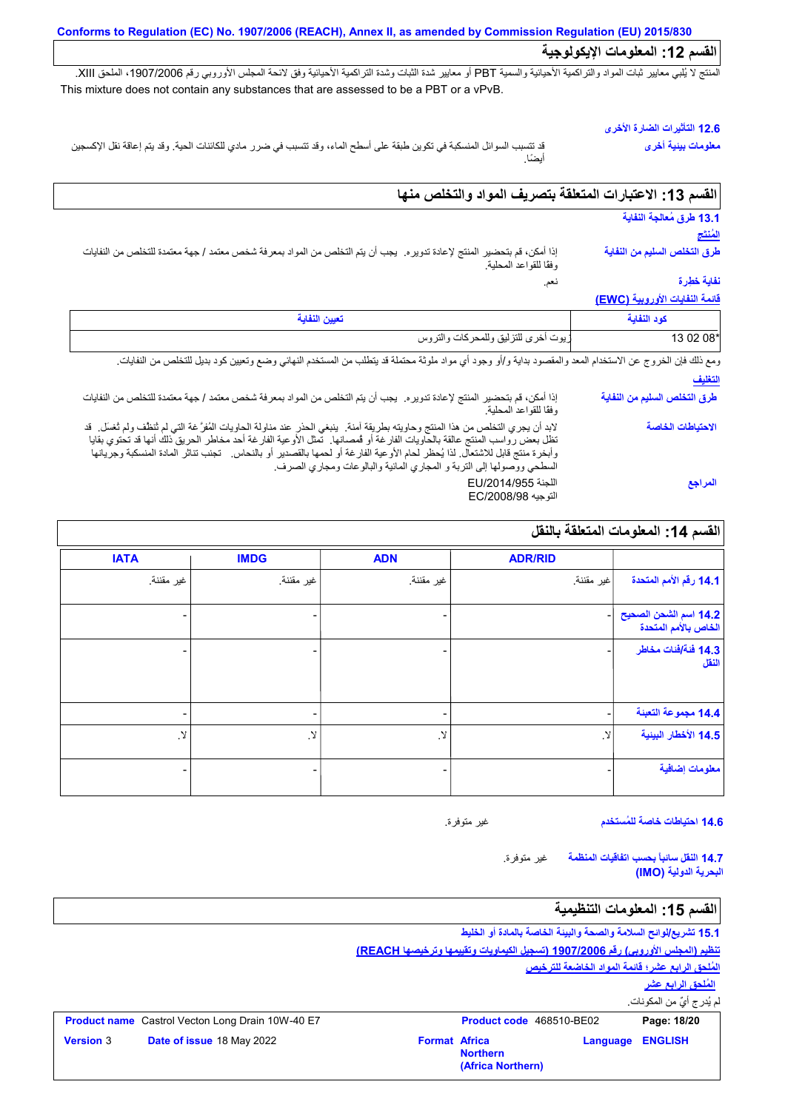المنتج لا يُلبي معايير ثبات المواد والتراكمية الأحيائية والسمية PBT أو معايير شدة الثبات وشدة التراكمية الأحيائية وفق لائحة المجلس الأوروبي رقم 1907/2006، الملحق XIII. This mixture does not contain any substances that are assessed to be a PBT or a vPvB.

### **12.6 التأثیرات الضارة الأخرى**

**معلومات بیئیة أخرى**

قد تتسبب السوائل المنسكبة في تكوین طبقة على أسطح الماء، وقد تتسبب في ضرر مادي للكائنات الحیة. وقد یتم إعاقة نقل الإكسجین أیضًا.

# **القسم :13 الاعتبارات المتعلقة بتصریف المواد والتخلص منھا**

| 13.1 طرق مُعالجة النفاية       |                                                                                                                                                                                                                                                                                                                                 |
|--------------------------------|---------------------------------------------------------------------------------------------------------------------------------------------------------------------------------------------------------------------------------------------------------------------------------------------------------------------------------|
| المَنتَج                       |                                                                                                                                                                                                                                                                                                                                 |
| طرق التخلص السليم من النفاية   | إذا أمكن، قم بتحضير المنتج لإعادة تدوير م. يجب أن يتم التخلص من المواد بمعرفة شخص معتمد / جهة معتمدة للتخلص من النفايات<br>وفقًا للقواعد المحلية.                                                                                                                                                                               |
| نفاية خطرة                     | نعم.                                                                                                                                                                                                                                                                                                                            |
| فائمة النفايات الأوروبية (EWC) |                                                                                                                                                                                                                                                                                                                                 |
| كود النفاية                    | تعيين النفاية                                                                                                                                                                                                                                                                                                                   |
| 13 02 08*                      | زيوت أخرى للتزليق وللمحركات والتروس                                                                                                                                                                                                                                                                                             |
|                                | ومع ذلك فإن الخروج عن الاستخدام المعد والمقصود بداية و/أو وجود أي مواد ملوثة محتملة قد يتطلب من المستخدم النهائي وضع وتعيين كود بديل للتخلص من النفايات.                                                                                                                                                                        |
| التغليف                        |                                                                                                                                                                                                                                                                                                                                 |
| طرق التخلص السليم من النفاية   | إذا أمكن، قم بتحضير المنتج لإعادة تدوير م. يجب أن يتم التخلص من المواد بمعرفة شخص معتمد / جهة معتمدة للتخلص من النفايات<br>وفقا للقواعد المحلية                                                                                                                                                                                 |
| الاحتياطات الخاصة              | لابد أن يجري التخلص من هذا المنتج وحاويته بطريقة آمنة٬ ينبغي الحذر عند مناولة الحاويات المُفرَّ غة التي لم ثنظف ولم ثغسل٬ قد                                                                                                                                                                                                    |
|                                | تظل بعض رواسب المنتج عالقة بالحاويات الفارغة أو قمصانها. تمثل الأوعية الفارغة أحد مخاطر الحريق ذلك أنها قد تحتوي بقايا<br>وأبخرة منتج قابل للاشتعال. لذا يُحظر لحام الأوعية الفارغة أو لحمها بالقصدير أو بالنحاس.   تجنب تتاثر المادة المنسكبة وجريانها<br>السطحي ووصولها إلى التربة و المجاري المائية والبالوعات ومجاري الصرف. |

#### **القسم :14 المعلومات المتعلقة بالنقل ADR/RID** غیر مقننة. تيح - - **14.4 مجموعة التعبئة** لا. - **ADN** غیر مقننة. - - - لا. - **IMDG** غیر مقننة. - - - لا. - **IATA** غیر مقننة. - - - لا. - **14.1 رقم الأمم المتحدة** .<br>**14.2** اسم الشحن الص **الخاص بالأمم المتحدة 14.3 فئة/فئات مخاطر النقل 14.5 الأخطار البیئیة معلومات إضافیة**

**14.6 احتیاطات خاصة للمُستخدم**

غیر متوفرة.

غیر متوفرة. **14.7 النقل سائباً بحسب اتفاقیات المنظمة البحریة الدولیة (IMO(**

# القسم 15: المعلومات التنظيمية

**15.1 تشریع/لوائح السلامة والصحة والبیئة الخاصة بالمادة أو الخلیط تنظیم (المجلس الأوروبي) رقم 1907/2006 (تسجیل الكیماویات وتقییمھا وترخیصھا REACH( المُلحق الرابع عشر؛ قائمة المواد الخاضعة للترخیص المُلحق الرابع عشر**

لم یُدرج أيٌ من المكونات.

|                  | <b>Product name</b> Castrol Vecton Long Drain 10W-40 E7 |                      | Product code 468510-BE02             |                         | Page: 18/20 |
|------------------|---------------------------------------------------------|----------------------|--------------------------------------|-------------------------|-------------|
| <b>Version</b> 3 | Date of issue 18 May 2022                               | <b>Format Africa</b> | <b>Northern</b><br>(Africa Northern) | <b>Language ENGLISH</b> |             |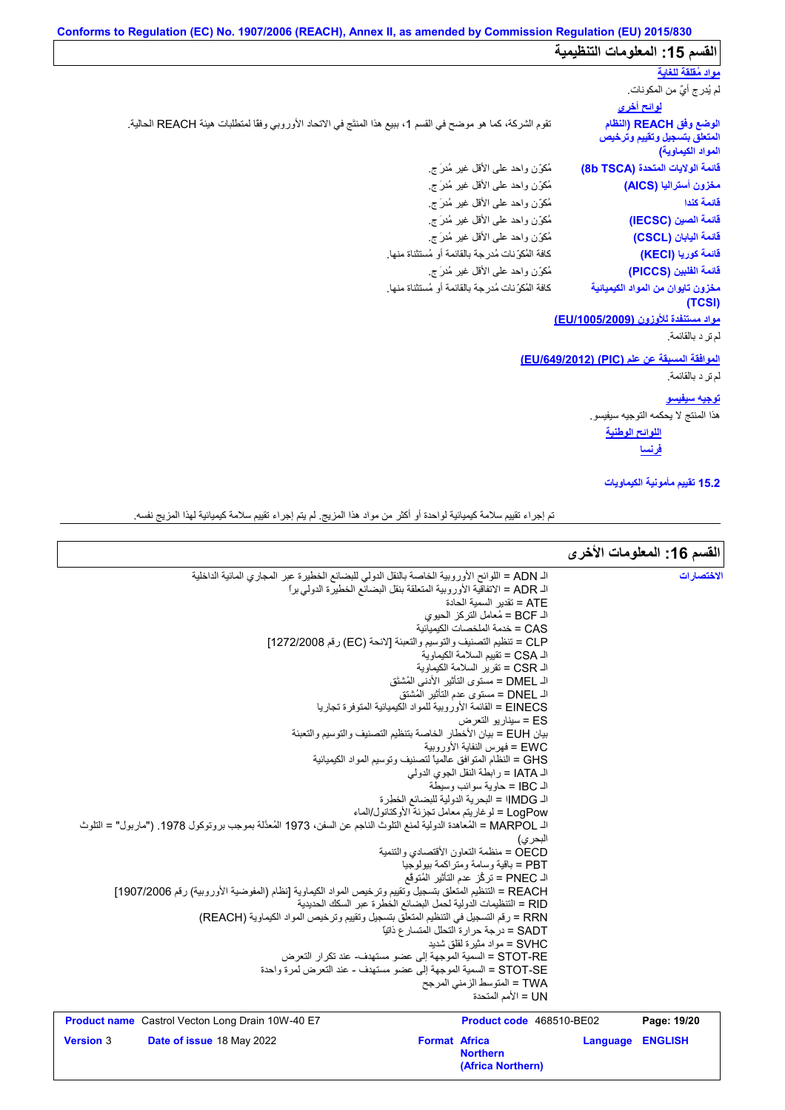# **Conforms to Regulation (EC) No. 1907/2006 (REACH), Annex II, as amended by Commission Regulation (EU) 2015/830** القسم 15: المعلومات التنظیمیة

# **لوائح أخرى مواد مُقلقة للغایة** لم یُدرج أيٌ من المكونات.

| <u>لوائح أخرى</u><br>الوضع وفق REACH (النظام<br>المتعلق بتسجيل وتقييم وترخيص<br>المواد الكيماوية) | تقوم الشركة، كما هو موضح في القسم 1، ببيع هذا المنتَج في الاتحاد الأوروبي وفقًا لمنطلبات هيئة REACH الحالية <sub>.</sub> |
|---------------------------------------------------------------------------------------------------|--------------------------------------------------------------------------------------------------------------------------|
| فَانَمة الولايات المتحدة (8b TSCA)                                                                | مُكوّزن واحد علىي الأقل غير مُدرَج.                                                                                      |
| مغزون أستراليا (AICS)                                                                             | مُكوّزن واحد على الأقل غير مُدرَ ج                                                                                       |
| قائمة كندا                                                                                        | مُكوِّن واحد على الأقل غير مُدرَ ج                                                                                       |
| فَائمة الصين (IECSC)                                                                              | مُكوّزن واحد علىي الأقل غير مُدرَ ج                                                                                      |
| فَائمة اليابان (CSCL)                                                                             | مُكوِّن واحد على الأقل غير مُدرَ ج                                                                                       |
| فَائِمة كوريا (KECI)                                                                              | كافة المُكوِّ نات مُدرجة بالقائمة أو مُستثناة منها.                                                                      |
| فَائمة الفلبين (PICCS)                                                                            | مُكوِّن واحد على الأقل غير مُدرَ ج                                                                                       |
| مخزون تايوان من المواد الكيميائية<br>(TCSI)                                                       | كافة المُكوِّ نات مُدرِ جة بالقائمة أو مُستثناة منها.                                                                    |
| مواد مستنفدة للأوزون (EU/1005/2009)                                                               |                                                                                                                          |
| لم تر د بالقائمة.                                                                                 |                                                                                                                          |
| $T = 100 \text{ A} \Omega / 0.4 \Omega$ $T = 100 \Omega$ $T = 100 \Omega$ $T = 100 \Omega$        |                                                                                                                          |

# **مواد مستنفدة للأوزون (/1005/2009EU(** رافات المست<u>نفدة المريضة .</u><br>الم ترِ د بالقائمة<u>.</u><br>الموا<u>فقة المسب</u><br>لم ترِ د بالقائمة.<br>الم تر

### **الموافقة المسبقة عن علم (PIC) (/649/2012EU(**

# **توجیھ سیفیسو**

ھذا المنتج لا یحكمھ التوجیھ سیفیسو.

**اللوائح الوطنیة فرنسا**

### **15.2 تقییم مأمونیة الكیماویات**

تم إجراء تقییم سلامة كیمیائیة لواحدة أو أكثر من مواد ھذا المزیج. لم یتم إجراء تقییم سلامة كیمیائیة لھذا المزیج نفسھ.

 $\mathsf{l}$ 

| الفسم 16: المعلومات الأخرى |                 |                                                                                                 |                                                                                                                    |                  |
|----------------------------|-----------------|-------------------------------------------------------------------------------------------------|--------------------------------------------------------------------------------------------------------------------|------------------|
| الاختصار ات                |                 |                                                                                                 | الـ ADN = اللوائح الأوروبية الخاصة بالنقل الدولي للبضائع الخطيرة عبر المجاري المائية الداخلية                      |                  |
|                            |                 | الـ ADR = الاتفاقية الأوروبية المتعلقة بنقل البضائع الخطيرة الدولي برا                          |                                                                                                                    |                  |
|                            |                 | ATE = تقدير السمية الحادة                                                                       |                                                                                                                    |                  |
|                            |                 | الـ BCF = مُعامل النركز الحيوي                                                                  |                                                                                                                    |                  |
|                            |                 | CAS = خدمة الملخصات الكبمبائية                                                                  |                                                                                                                    |                  |
|                            |                 | CLP = تنظيم التصنيف والتوسيم والتعبئة [لائحة (EC) رقم 1272/2008]                                |                                                                                                                    |                  |
|                            |                 | الـ CSA = تقييم السلامة الكيماوية                                                               |                                                                                                                    |                  |
|                            |                 | الـ CSR = تقرير السلامة الكيماوية                                                               |                                                                                                                    |                  |
|                            |                 | الـ DMEL = مستوى التأثير الأدنى المُشتَق                                                        |                                                                                                                    |                  |
|                            |                 | الـ DNEL = مستوى عدم التأثير المُشتق                                                            |                                                                                                                    |                  |
|                            |                 | EINECS = القائمة الأوروبية للمواد الكيميائية المتوفرة تجاريا                                    |                                                                                                                    |                  |
|                            |                 | ES = سينار يو التعرض                                                                            |                                                                                                                    |                  |
|                            |                 | بيان EUH = بيان الأخطار الخاصة بتنظيم التصنيف والتوسيم والتعبئة<br>EWC = فهرس النفاية الأوروبية |                                                                                                                    |                  |
|                            |                 | GHS = النظام المتوافق عالمياً لتصنيف وتوسيم المواد الكيميائية                                   |                                                                                                                    |                  |
|                            |                 | الـ IATA = رابطة النقل الجوي الدولي                                                             |                                                                                                                    |                  |
|                            |                 | اك IBC = حاوية سوائب وسبطة                                                                      |                                                                                                                    |                  |
|                            |                 | الـ IMDG! = البحرية الدولية للبضائع الخطرة                                                      |                                                                                                                    |                  |
|                            |                 | LogPow = لو غاريتم معامل تجزئة الأوكتانول/الماء                                                 |                                                                                                                    |                  |
|                            |                 |                                                                                                 | اك MARPOL = المُعاهدة الدولية لمنع التلوث الناجم عن السفن، 1973 المُعدَّلة بموجب بروتوكول 1978. ("ماربول" = التلوث |                  |
|                            |                 | البحر ي)                                                                                        |                                                                                                                    |                  |
|                            |                 | OECD = منظمة التعاون الأقتصادي والتنمبة                                                         |                                                                                                                    |                  |
|                            |                 | PBT = باقية وسامة ومتراكمة بيولوجيا                                                             |                                                                                                                    |                  |
|                            |                 | الـ PNEC = تركُّز عدم التأثير المُتوقَّع                                                        |                                                                                                                    |                  |
|                            |                 |                                                                                                 | REACH = التنظيم المتعلق بتسجيل وتقييم وترخيص المواد الكيماوية [نظام (المفوضية الأوروبية) رقم 1907/2006]            |                  |
|                            |                 | RID = التنظيمات الدولية لحمل البضائع الخطرة عبر السكك الحديدية                                  |                                                                                                                    |                  |
|                            |                 | SADT = درجة حرارة التحلل المتسار ع ذاتيًا                                                       | RRN = رقم التسجيل في التنظيم المتعلِّق بتسجيل وتقييم وترخيص المواد الكيماوية (REACH)                               |                  |
|                            |                 | SVHC = مو اد مثبر ة لقلق شدبد                                                                   |                                                                                                                    |                  |
|                            |                 | STOT-RE = السمية الموجهة إلى عضو مستهدف- عند تكرار التعرض                                       |                                                                                                                    |                  |
|                            |                 | STOT-SE = السمية الموجهة إلى عضو مستهدف - عند التعرض لمرة واحدة                                 |                                                                                                                    |                  |
|                            |                 | TWA = المتوسط الزمني المرجح                                                                     |                                                                                                                    |                  |
|                            |                 | UN = الأمم المتحدة                                                                              |                                                                                                                    |                  |
| Page: 19/20                |                 | Product code 468510-BE02                                                                        | <b>Product name</b> Castrol Vecton Long Drain 10W-40 E7                                                            |                  |
| <b>ENGLISH</b>             | <b>Language</b> | <b>Format Africa</b>                                                                            | Date of issue 18 May 2022                                                                                          | <b>Version</b> 3 |
|                            |                 | <b>Northern</b><br>(Africa Northern)                                                            |                                                                                                                    |                  |